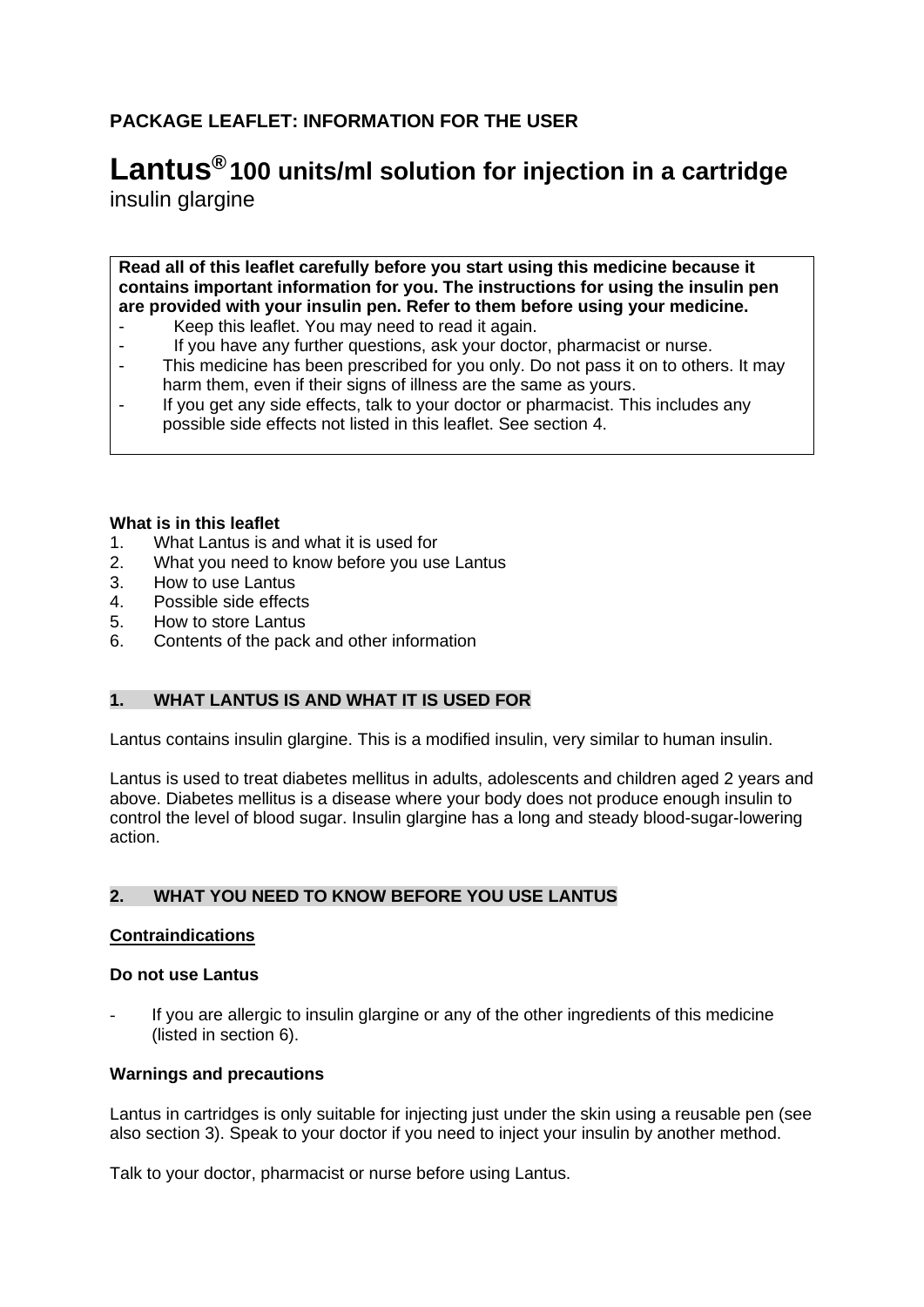# **PACKAGE LEAFLET: INFORMATION FOR THE USER**

# **Lantus® 100 units/ml solution for injection in a cartridge**

insulin glargine

**Read all of this leaflet carefully before you start using this medicine because it contains important information for you. The instructions for using the insulin pen are provided with your insulin pen. Refer to them before using your medicine.**

- Keep this leaflet. You may need to read it again.
- If you have any further questions, ask your doctor, pharmacist or nurse.
- This medicine has been prescribed for you only. Do not pass it on to others. It may harm them, even if their signs of illness are the same as yours.
- If you get any side effects, talk to your doctor or pharmacist. This includes any possible side effects not listed in this leaflet. See section 4.

#### **What is in this leaflet**

- 1. What Lantus is and what it is used for
- 2. What you need to know before you use Lantus
- 3. How to use Lantus
- 4. Possible side effects
- 5. How to store Lantus
- 6. Contents of the pack and other information

#### **1. WHAT LANTUS IS AND WHAT IT IS USED FOR**

Lantus contains insulin glargine. This is a modified insulin, very similar to human insulin.

Lantus is used to treat diabetes mellitus in adults, adolescents and children aged 2 years and above. Diabetes mellitus is a disease where your body does not produce enough insulin to control the level of blood sugar. Insulin glargine has a long and steady blood-sugar-lowering action.

#### **2. WHAT YOU NEED TO KNOW BEFORE YOU USE LANTUS**

#### **Contraindications**

#### **Do not use Lantus**

If you are allergic to insulin glargine or any of the other ingredients of this medicine (listed in section 6).

#### **Warnings and precautions**

Lantus in cartridges is only suitable for injecting just under the skin using a reusable pen (see also section 3). Speak to your doctor if you need to inject your insulin by another method.

Talk to your doctor, pharmacist or nurse before using Lantus.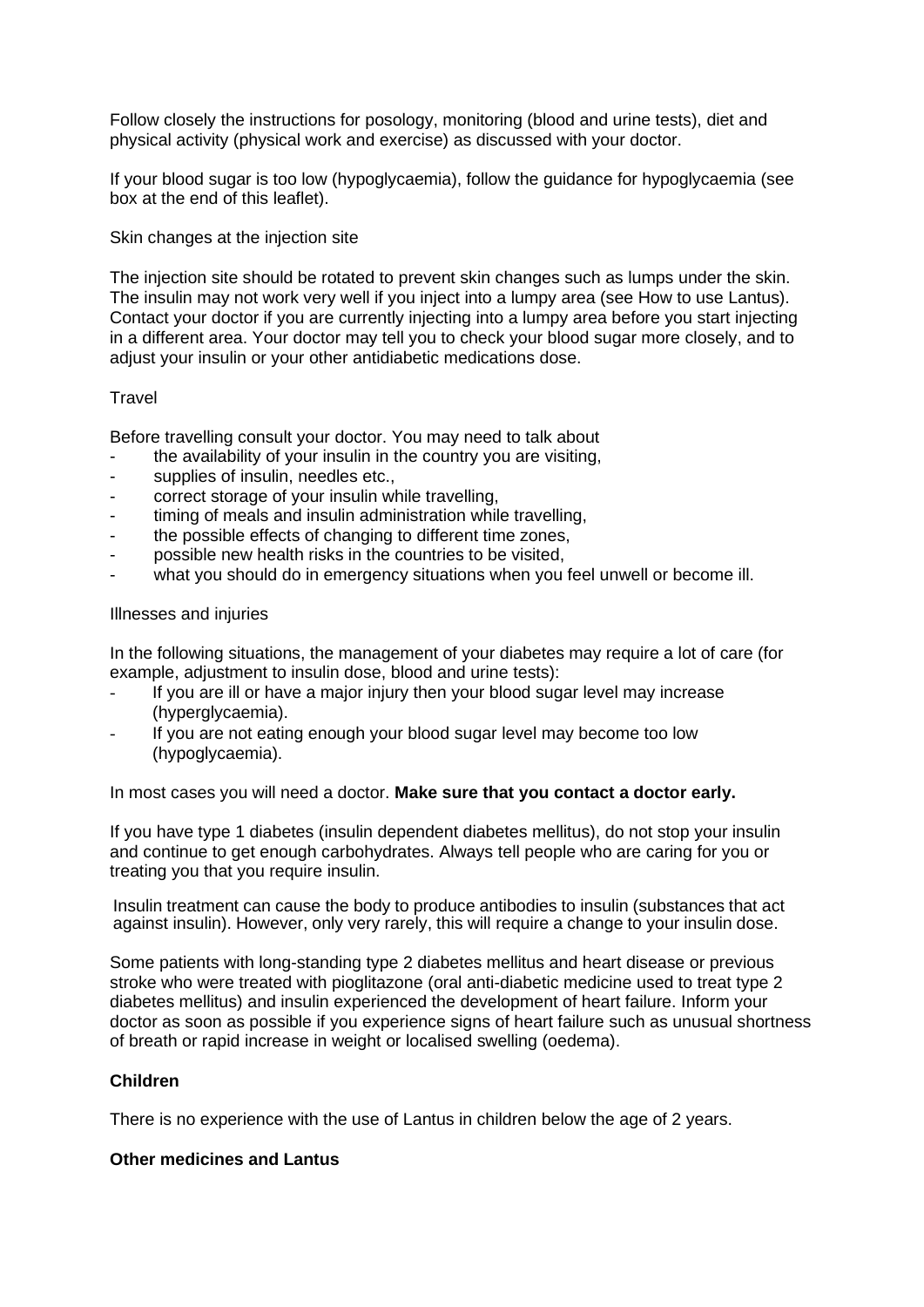Follow closely the instructions for posology, monitoring (blood and urine tests), diet and physical activity (physical work and exercise) as discussed with your doctor.

If your blood sugar is too low (hypoglycaemia), follow the guidance for hypoglycaemia (see box at the end of this leaflet).

Skin changes at the injection site

The injection site should be rotated to prevent skin changes such as lumps under the skin. The insulin may not work very well if you inject into a lumpy area (see How to use Lantus). Contact your doctor if you are currently injecting into a lumpy area before you start injecting in a different area. Your doctor may tell you to check your blood sugar more closely, and to adjust your insulin or your other antidiabetic medications dose.

#### **Travel**

Before travelling consult your doctor. You may need to talk about

- the availability of your insulin in the country you are visiting,
- supplies of insulin, needles etc.,
- correct storage of your insulin while travelling.
- timing of meals and insulin administration while travelling,
- the possible effects of changing to different time zones,
- possible new health risks in the countries to be visited,
- what you should do in emergency situations when you feel unwell or become ill.

#### Illnesses and injuries

In the following situations, the management of your diabetes may require a lot of care (for example, adjustment to insulin dose, blood and urine tests):

- If you are ill or have a major injury then your blood sugar level may increase (hyperglycaemia).
- If you are not eating enough your blood sugar level may become too low (hypoglycaemia).

In most cases you will need a doctor. **Make sure that you contact a doctor early.** 

If you have type 1 diabetes (insulin dependent diabetes mellitus), do not stop your insulin and continue to get enough carbohydrates. Always tell people who are caring for you or treating you that you require insulin.

Insulin treatment can cause the body to produce antibodies to insulin (substances that act against insulin). However, only very rarely, this will require a change to your insulin dose.

Some patients with long-standing type 2 diabetes mellitus and heart disease or previous stroke who were treated with pioglitazone (oral anti-diabetic medicine used to treat type 2 diabetes mellitus) and insulin experienced the development of heart failure. Inform your doctor as soon as possible if you experience signs of heart failure such as unusual shortness of breath or rapid increase in weight or localised swelling (oedema).

#### **Children**

There is no experience with the use of Lantus in children below the age of 2 years.

#### **Other medicines and Lantus**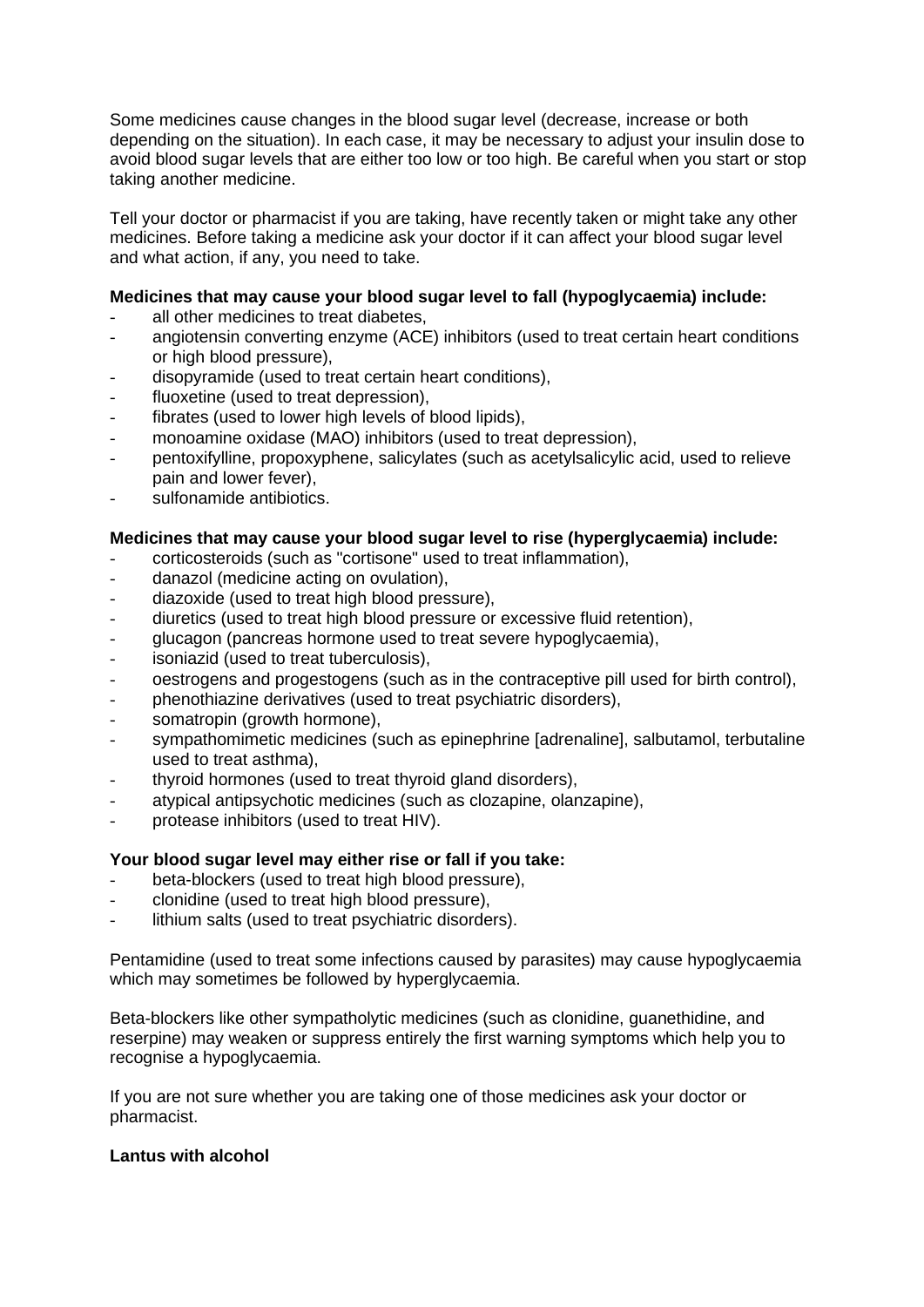Some medicines cause changes in the blood sugar level (decrease, increase or both depending on the situation). In each case, it may be necessary to adjust your insulin dose to avoid blood sugar levels that are either too low or too high. Be careful when you start or stop taking another medicine.

Tell your doctor or pharmacist if you are taking, have recently taken or might take any other medicines. Before taking a medicine ask your doctor if it can affect your blood sugar level and what action, if any, you need to take.

## **Medicines that may cause your blood sugar level to fall (hypoglycaemia) include:**

- all other medicines to treat diabetes.
- angiotensin converting enzyme (ACE) inhibitors (used to treat certain heart conditions or high blood pressure),
- disopyramide (used to treat certain heart conditions),
- fluoxetine (used to treat depression),
- fibrates (used to lower high levels of blood lipids).
- monoamine oxidase (MAO) inhibitors (used to treat depression),
- pentoxifylline, propoxyphene, salicylates (such as acetylsalicylic acid, used to relieve pain and lower fever),
- sulfonamide antibiotics.

# **Medicines that may cause your blood sugar level to rise (hyperglycaemia) include:**

- corticosteroids (such as "cortisone" used to treat inflammation),
- danazol (medicine acting on ovulation),
- diazoxide (used to treat high blood pressure),
- diuretics (used to treat high blood pressure or excessive fluid retention).
- glucagon (pancreas hormone used to treat severe hypoglycaemia),
- isoniazid (used to treat tuberculosis),
- oestrogens and progestogens (such as in the contraceptive pill used for birth control),
- phenothiazine derivatives (used to treat psychiatric disorders),
- somatropin (growth hormone),
- sympathomimetic medicines (such as epinephrine [adrenaline], salbutamol, terbutaline used to treat asthma),
- thyroid hormones (used to treat thyroid gland disorders),
- atypical antipsychotic medicines (such as clozapine, olanzapine),
- protease inhibitors (used to treat HIV).

#### **Your blood sugar level may either rise or fall if you take:**

- beta-blockers (used to treat high blood pressure).
- clonidine (used to treat high blood pressure),
- lithium salts (used to treat psychiatric disorders).

Pentamidine (used to treat some infections caused by parasites) may cause hypoglycaemia which may sometimes be followed by hyperglycaemia.

Beta-blockers like other sympatholytic medicines (such as clonidine, guanethidine, and reserpine) may weaken or suppress entirely the first warning symptoms which help you to recognise a hypoglycaemia.

If you are not sure whether you are taking one of those medicines ask your doctor or pharmacist.

#### **Lantus with alcohol**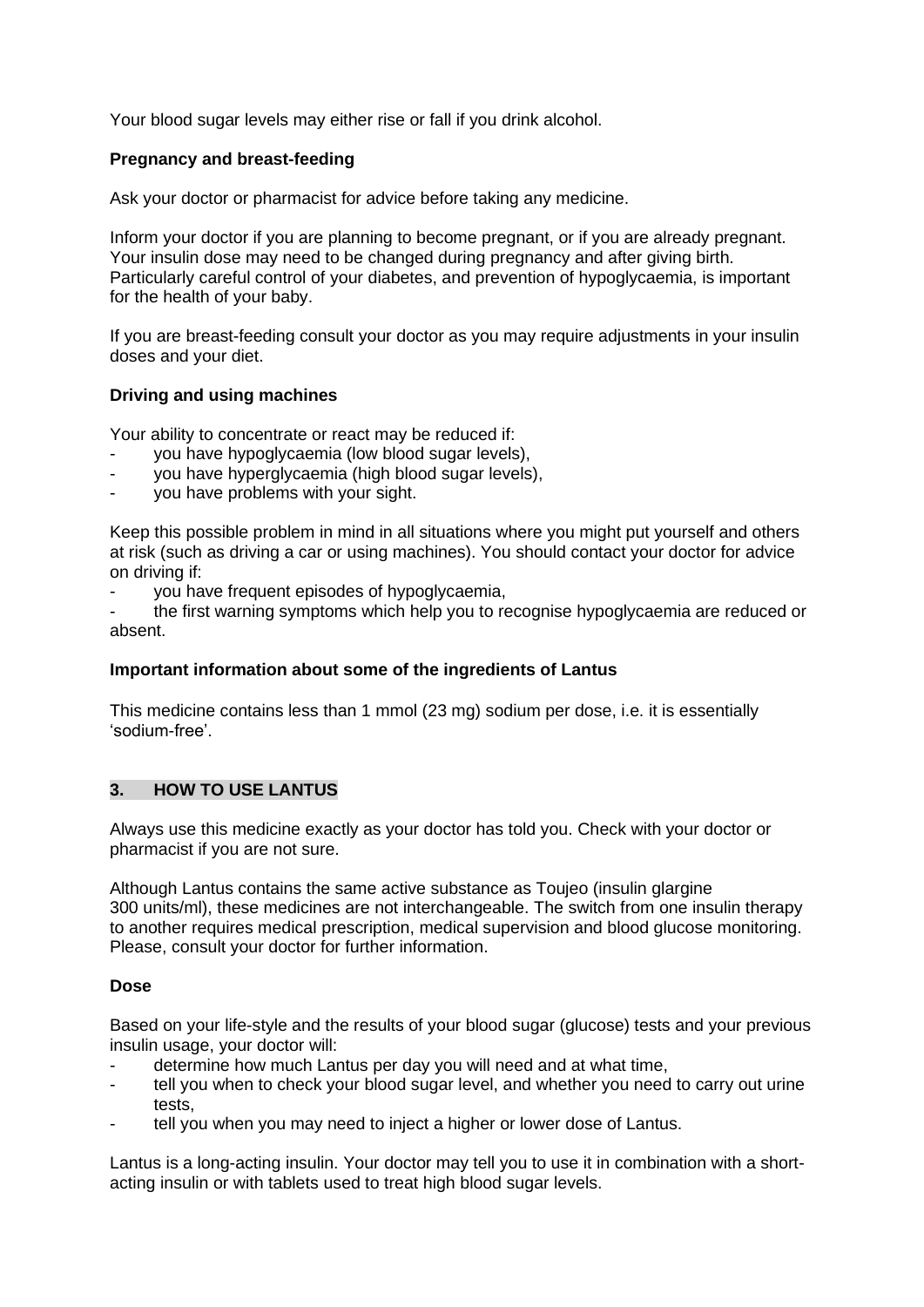Your blood sugar levels may either rise or fall if you drink alcohol.

#### **Pregnancy and breast-feeding**

Ask your doctor or pharmacist for advice before taking any medicine.

Inform your doctor if you are planning to become pregnant, or if you are already pregnant. Your insulin dose may need to be changed during pregnancy and after giving birth. Particularly careful control of your diabetes, and prevention of hypoglycaemia, is important for the health of your baby.

If you are breast-feeding consult your doctor as you may require adjustments in your insulin doses and your diet.

#### **Driving and using machines**

Your ability to concentrate or react may be reduced if:

- you have hypoglycaemia (low blood sugar levels),
- you have hyperglycaemia (high blood sugar levels),
- you have problems with your sight.

Keep this possible problem in mind in all situations where you might put yourself and others at risk (such as driving a car or using machines). You should contact your doctor for advice on driving if:

- you have frequent episodes of hypoglycaemia,

the first warning symptoms which help you to recognise hypoglycaemia are reduced or absent.

#### **Important information about some of the ingredients of Lantus**

This medicine contains less than 1 mmol (23 mg) sodium per dose, i.e. it is essentially 'sodium-free'.

#### **3. HOW TO USE LANTUS**

Always use this medicine exactly as your doctor has told you. Check with your doctor or pharmacist if you are not sure.

Although Lantus contains the same active substance as Toujeo (insulin glargine 300 units/ml), these medicines are not interchangeable. The switch from one insulin therapy to another requires medical prescription, medical supervision and blood glucose monitoring. Please, consult your doctor for further information.

#### **Dose**

Based on your life-style and the results of your blood sugar (glucose) tests and your previous insulin usage, your doctor will:

- determine how much Lantus per day you will need and at what time,
- tell you when to check your blood sugar level, and whether you need to carry out urine tests,
- tell you when you may need to inject a higher or lower dose of Lantus.

Lantus is a long-acting insulin. Your doctor may tell you to use it in combination with a shortacting insulin or with tablets used to treat high blood sugar levels.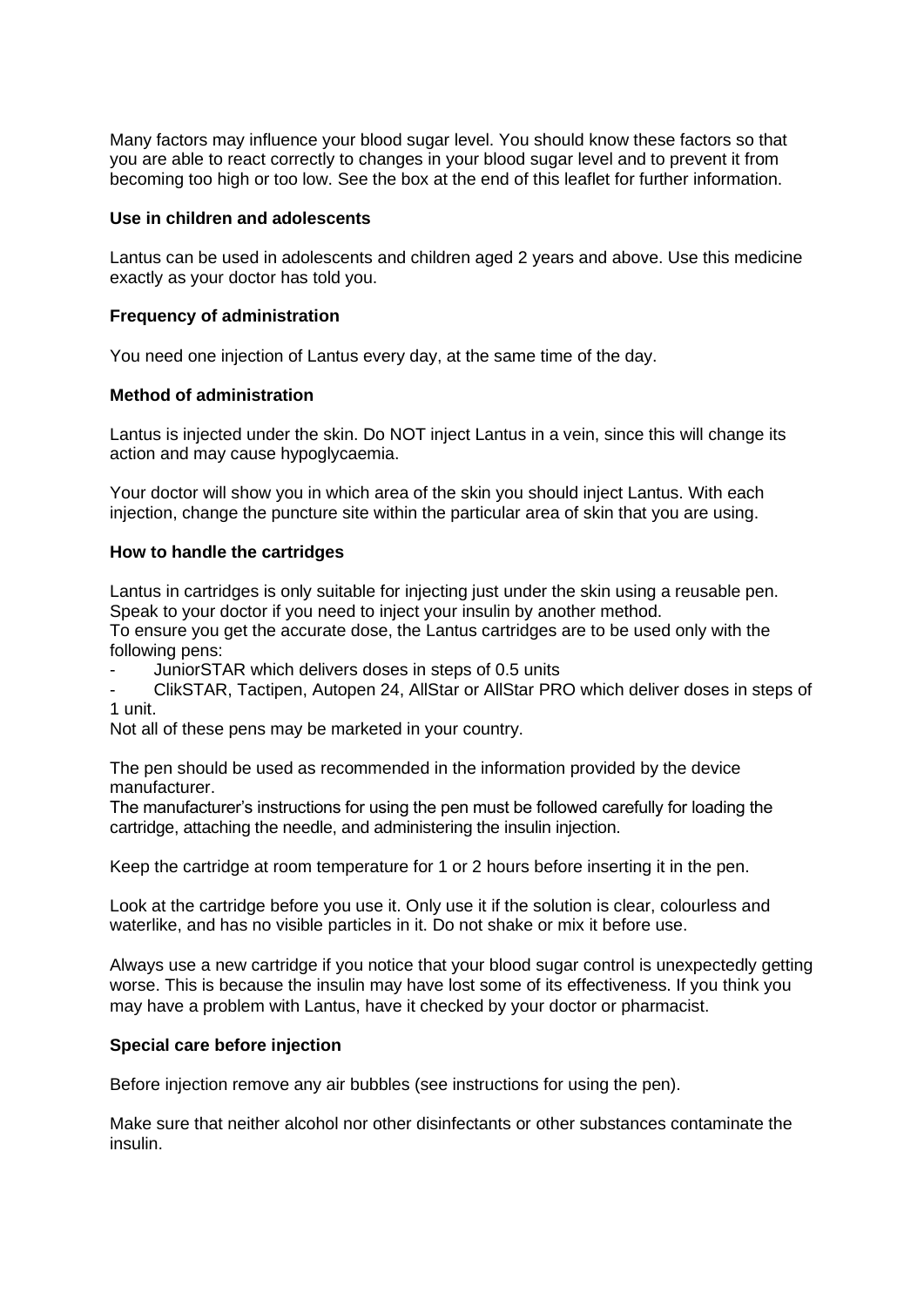Many factors may influence your blood sugar level. You should know these factors so that you are able to react correctly to changes in your blood sugar level and to prevent it from becoming too high or too low. See the box at the end of this leaflet for further information.

#### **Use in children and adolescents**

Lantus can be used in adolescents and children aged 2 years and above. Use this medicine exactly as your doctor has told you.

#### **Frequency of administration**

You need one injection of Lantus every day, at the same time of the day.

#### **Method of administration**

Lantus is injected under the skin. Do NOT inject Lantus in a vein, since this will change its action and may cause hypoglycaemia.

Your doctor will show you in which area of the skin you should inject Lantus. With each injection, change the puncture site within the particular area of skin that you are using.

#### **How to handle the cartridges**

Lantus in cartridges is only suitable for injecting just under the skin using a reusable pen. Speak to your doctor if you need to inject your insulin by another method.

To ensure you get the accurate dose, the Lantus cartridges are to be used only with the following pens:

- JuniorSTAR which delivers doses in steps of 0.5 units

ClikSTAR, Tactipen, Autopen 24, AllStar or AllStar PRO which deliver doses in steps of 1 unit.

Not all of these pens may be marketed in your country.

The pen should be used as recommended in the information provided by the device manufacturer.

The manufacturer's instructions for using the pen must be followed carefully for loading the cartridge, attaching the needle, and administering the insulin injection.

Keep the cartridge at room temperature for 1 or 2 hours before inserting it in the pen.

Look at the cartridge before you use it. Only use it if the solution is clear, colourless and waterlike, and has no visible particles in it. Do not shake or mix it before use.

Always use a new cartridge if you notice that your blood sugar control is unexpectedly getting worse. This is because the insulin may have lost some of its effectiveness. If you think you may have a problem with Lantus, have it checked by your doctor or pharmacist.

#### **Special care before injection**

Before injection remove any air bubbles (see instructions for using the pen).

Make sure that neither alcohol nor other disinfectants or other substances contaminate the insulin.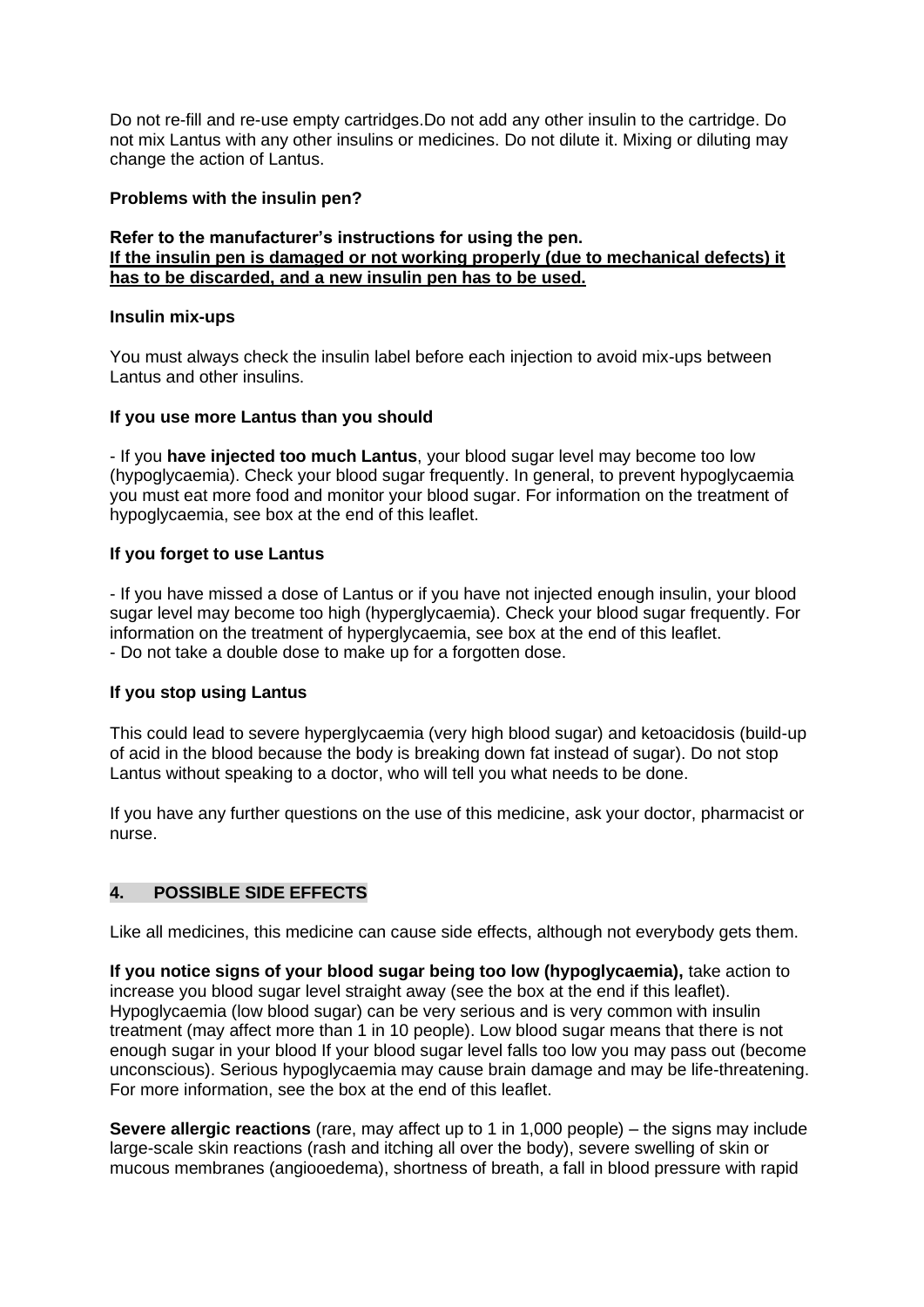Do not re-fill and re-use empty cartridges.Do not add any other insulin to the cartridge. Do not mix Lantus with any other insulins or medicines. Do not dilute it. Mixing or diluting may change the action of Lantus.

#### **Problems with the insulin pen?**

#### **Refer to the manufacturer's instructions for using the pen. If the insulin pen is damaged or not working properly (due to mechanical defects) it has to be discarded, and a new insulin pen has to be used.**

#### **Insulin mix-ups**

You must always check the insulin label before each injection to avoid mix-ups between Lantus and other insulins.

#### **If you use more Lantus than you should**

- If you **have injected too much Lantus**, your blood sugar level may become too low (hypoglycaemia). Check your blood sugar frequently. In general, to prevent hypoglycaemia you must eat more food and monitor your blood sugar. For information on the treatment of hypoglycaemia, see box at the end of this leaflet.

#### **If you forget to use Lantus**

- If you have missed a dose of Lantus or if you have not injected enough insulin, your blood sugar level may become too high (hyperglycaemia). Check your blood sugar frequently. For information on the treatment of hyperglycaemia, see box at the end of this leaflet. - Do not take a double dose to make up for a forgotten dose.

#### **If you stop using Lantus**

This could lead to severe hyperglycaemia (very high blood sugar) and ketoacidosis (build-up of acid in the blood because the body is breaking down fat instead of sugar). Do not stop Lantus without speaking to a doctor, who will tell you what needs to be done.

If you have any further questions on the use of this medicine, ask your doctor, pharmacist or nurse.

#### **4. POSSIBLE SIDE EFFECTS**

Like all medicines, this medicine can cause side effects, although not everybody gets them.

**If you notice signs of your blood sugar being too low (hypoglycaemia),** take action to increase you blood sugar level straight away (see the box at the end if this leaflet). Hypoglycaemia (low blood sugar) can be very serious and is very common with insulin treatment (may affect more than 1 in 10 people). Low blood sugar means that there is not enough sugar in your blood If your blood sugar level falls too low you may pass out (become unconscious). Serious hypoglycaemia may cause brain damage and may be life-threatening. For more information, see the box at the end of this leaflet.

**Severe allergic reactions** (rare, may affect up to 1 in 1,000 people) – the signs may include large-scale skin reactions (rash and itching all over the body), severe swelling of skin or mucous membranes (angiooedema), shortness of breath, a fall in blood pressure with rapid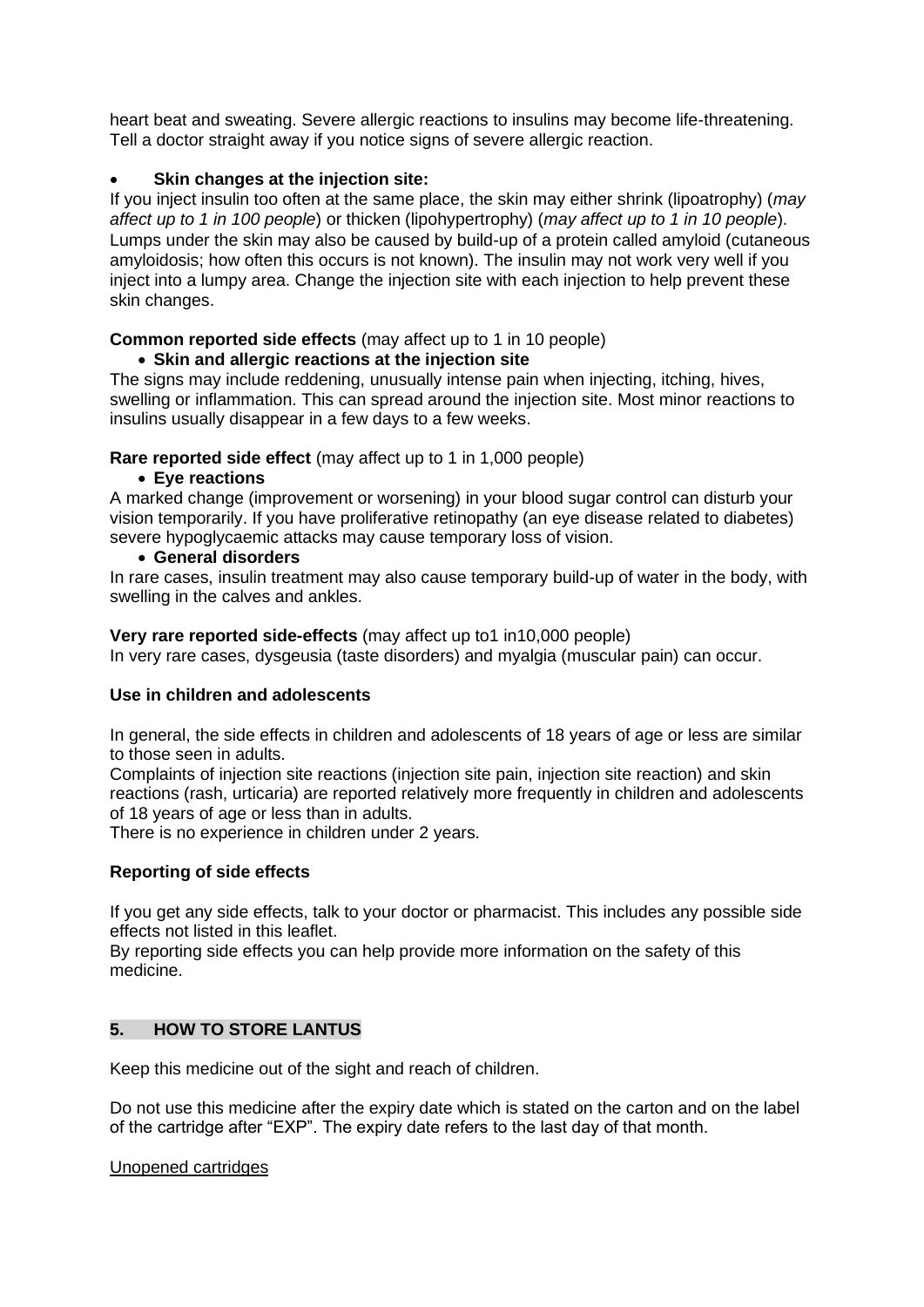heart beat and sweating. Severe allergic reactions to insulins may become life-threatening. Tell a doctor straight away if you notice signs of severe allergic reaction.

# • **Skin changes at the injection site:**

If you inject insulin too often at the same place, the skin may either shrink (lipoatrophy) (*may affect up to 1 in 100 people*) or thicken (lipohypertrophy) (*may affect up to 1 in 10 people*). Lumps under the skin may also be caused by build-up of a protein called amyloid (cutaneous amyloidosis; how often this occurs is not known). The insulin may not work very well if you inject into a lumpy area. Change the injection site with each injection to help prevent these skin changes.

# **Common reported side effects** (may affect up to 1 in 10 people)

# • **Skin and allergic reactions at the injection site**

The signs may include reddening, unusually intense pain when injecting, itching, hives, swelling or inflammation. This can spread around the injection site. Most minor reactions to insulins usually disappear in a few days to a few weeks.

**Rare reported side effect** (may affect up to 1 in 1,000 people)

# • **Eye reactions**

A marked change (improvement or worsening) in your blood sugar control can disturb your vision temporarily. If you have proliferative retinopathy (an eye disease related to diabetes) severe hypoglycaemic attacks may cause temporary loss of vision.

#### • **General disorders**

In rare cases, insulin treatment may also cause temporary build-up of water in the body, with swelling in the calves and ankles.

#### **Very rare reported side-effects** (may affect up to1 in10,000 people)

In very rare cases, dysgeusia (taste disorders) and myalgia (muscular pain) can occur.

# **Use in children and adolescents**

In general, the side effects in children and adolescents of 18 years of age or less are similar to those seen in adults.

Complaints of injection site reactions (injection site pain, injection site reaction) and skin reactions (rash, urticaria) are reported relatively more frequently in children and adolescents of 18 years of age or less than in adults.

There is no experience in children under 2 years.

#### **Reporting of side effects**

If you get any side effects, talk to your doctor or pharmacist. This includes any possible side effects not listed in this leaflet.

By reporting side effects you can help provide more information on the safety of this medicine.

# **5. HOW TO STORE LANTUS**

Keep this medicine out of the sight and reach of children.

Do not use this medicine after the expiry date which is stated on the carton and on the label of the cartridge after "EXP". The expiry date refers to the last day of that month.

#### Unopened cartridges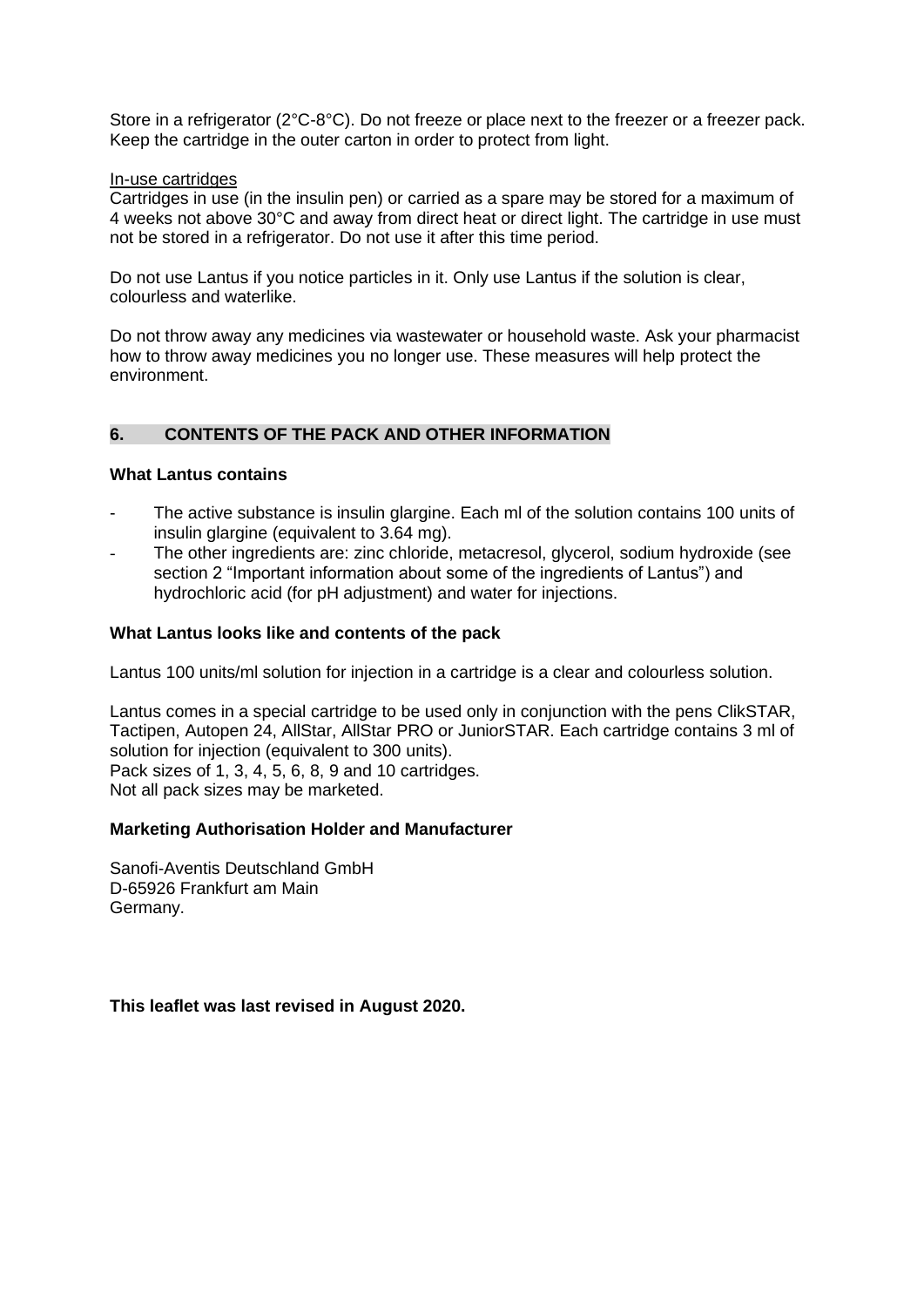Store in a refrigerator (2°C-8°C). Do not freeze or place next to the freezer or a freezer pack. Keep the cartridge in the outer carton in order to protect from light.

#### In-use cartridges

Cartridges in use (in the insulin pen) or carried as a spare may be stored for a maximum of 4 weeks not above 30°C and away from direct heat or direct light. The cartridge in use must not be stored in a refrigerator. Do not use it after this time period.

Do not use Lantus if you notice particles in it. Only use Lantus if the solution is clear, colourless and waterlike.

Do not throw away any medicines via wastewater or household waste. Ask your pharmacist how to throw away medicines you no longer use. These measures will help protect the environment.

# **6. CONTENTS OF THE PACK AND OTHER INFORMATION**

#### **What Lantus contains**

- The active substance is insulin glargine. Each ml of the solution contains 100 units of insulin glargine (equivalent to 3.64 mg).
- The other ingredients are: zinc chloride, metacresol, glycerol, sodium hydroxide (see section 2 "Important information about some of the ingredients of Lantus") and hydrochloric acid (for pH adjustment) and water for injections.

#### **What Lantus looks like and contents of the pack**

Lantus 100 units/ml solution for injection in a cartridge is a clear and colourless solution.

Lantus comes in a special cartridge to be used only in conjunction with the pens ClikSTAR, Tactipen, Autopen 24, AllStar, AllStar PRO or JuniorSTAR. Each cartridge contains 3 ml of solution for injection (equivalent to 300 units). Pack sizes of 1, 3, 4, 5, 6, 8, 9 and 10 cartridges. Not all pack sizes may be marketed.

#### **Marketing Authorisation Holder and Manufacturer**

Sanofi-Aventis Deutschland GmbH D-65926 Frankfurt am Main Germany.

**This leaflet was last revised in August 2020.**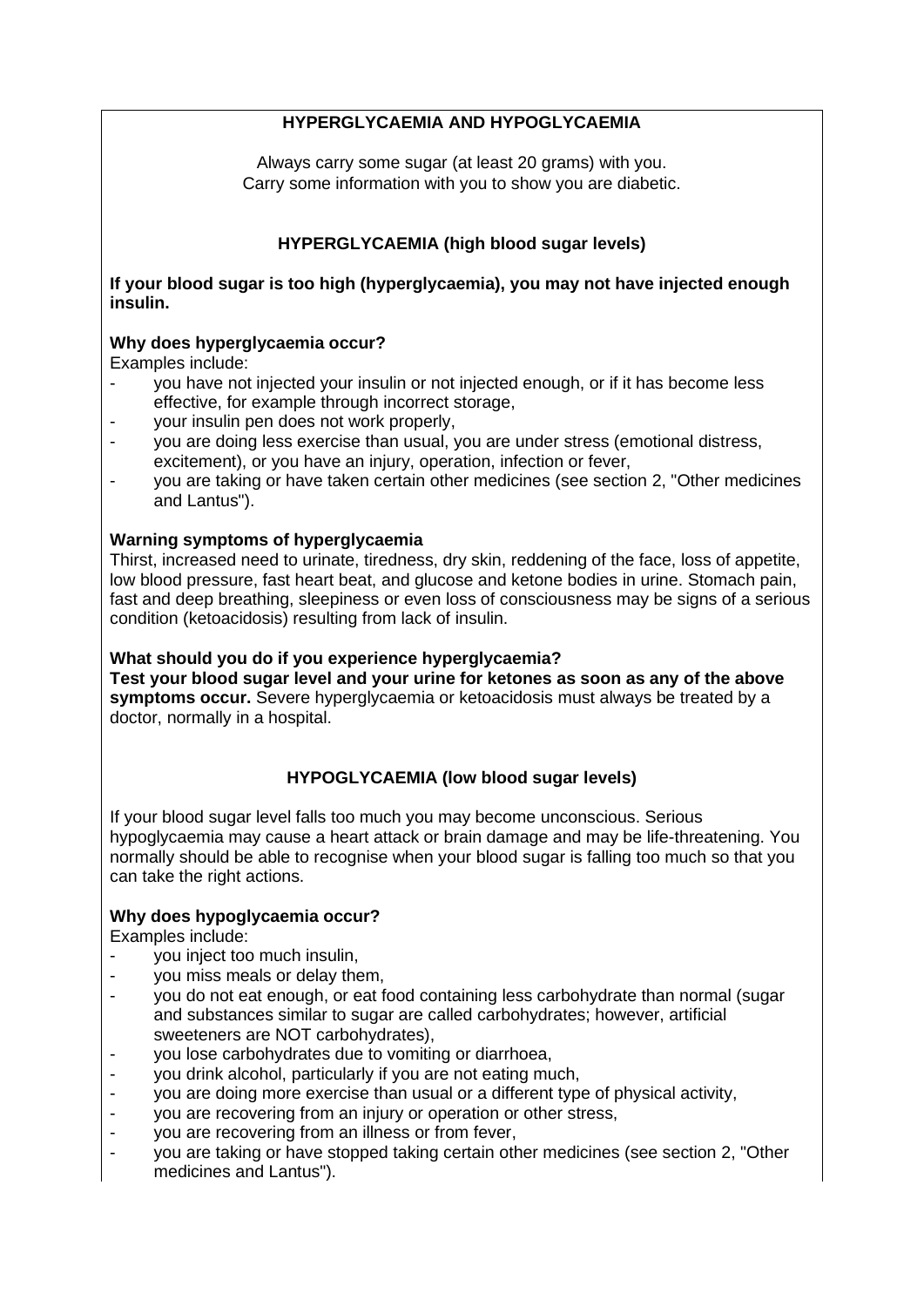# **HYPERGLYCAEMIA AND HYPOGLYCAEMIA**

Always carry some sugar (at least 20 grams) with you. Carry some information with you to show you are diabetic.

# **HYPERGLYCAEMIA (high blood sugar levels)**

**If your blood sugar is too high (hyperglycaemia), you may not have injected enough insulin.**

#### **Why does hyperglycaemia occur?**

Examples include:

- you have not injected your insulin or not injected enough, or if it has become less effective, for example through incorrect storage,
- your insulin pen does not work properly,
- you are doing less exercise than usual, you are under stress (emotional distress, excitement), or you have an injury, operation, infection or fever,
- you are taking or have taken certain other medicines (see section 2, "Other medicines and Lantus").

#### **Warning symptoms of hyperglycaemia**

Thirst, increased need to urinate, tiredness, dry skin, reddening of the face, loss of appetite, low blood pressure, fast heart beat, and glucose and ketone bodies in urine. Stomach pain, fast and deep breathing, sleepiness or even loss of consciousness may be signs of a serious condition (ketoacidosis) resulting from lack of insulin.

**What should you do if you experience hyperglycaemia? Test your blood sugar level and your urine for ketones as soon as any of the above symptoms occur.** Severe hyperglycaemia or ketoacidosis must always be treated by a doctor, normally in a hospital.

# **HYPOGLYCAEMIA (low blood sugar levels)**

If your blood sugar level falls too much you may become unconscious. Serious hypoglycaemia may cause a heart attack or brain damage and may be life-threatening. You normally should be able to recognise when your blood sugar is falling too much so that you can take the right actions.

#### **Why does hypoglycaemia occur?**

Examples include:

- vou inject too much insulin.
- you miss meals or delay them,
- you do not eat enough, or eat food containing less carbohydrate than normal (sugar and substances similar to sugar are called carbohydrates; however, artificial sweeteners are NOT carbohydrates),
- you lose carbohydrates due to vomiting or diarrhoea,
- you drink alcohol, particularly if you are not eating much,
- you are doing more exercise than usual or a different type of physical activity,<br>- vou are recovering from an iniury or operation or other stress.
- you are recovering from an injury or operation or other stress,<br>- you are recovering from an illness or from fever
- you are recovering from an illness or from fever,
- you are taking or have stopped taking certain other medicines (see section 2, "Other medicines and Lantus").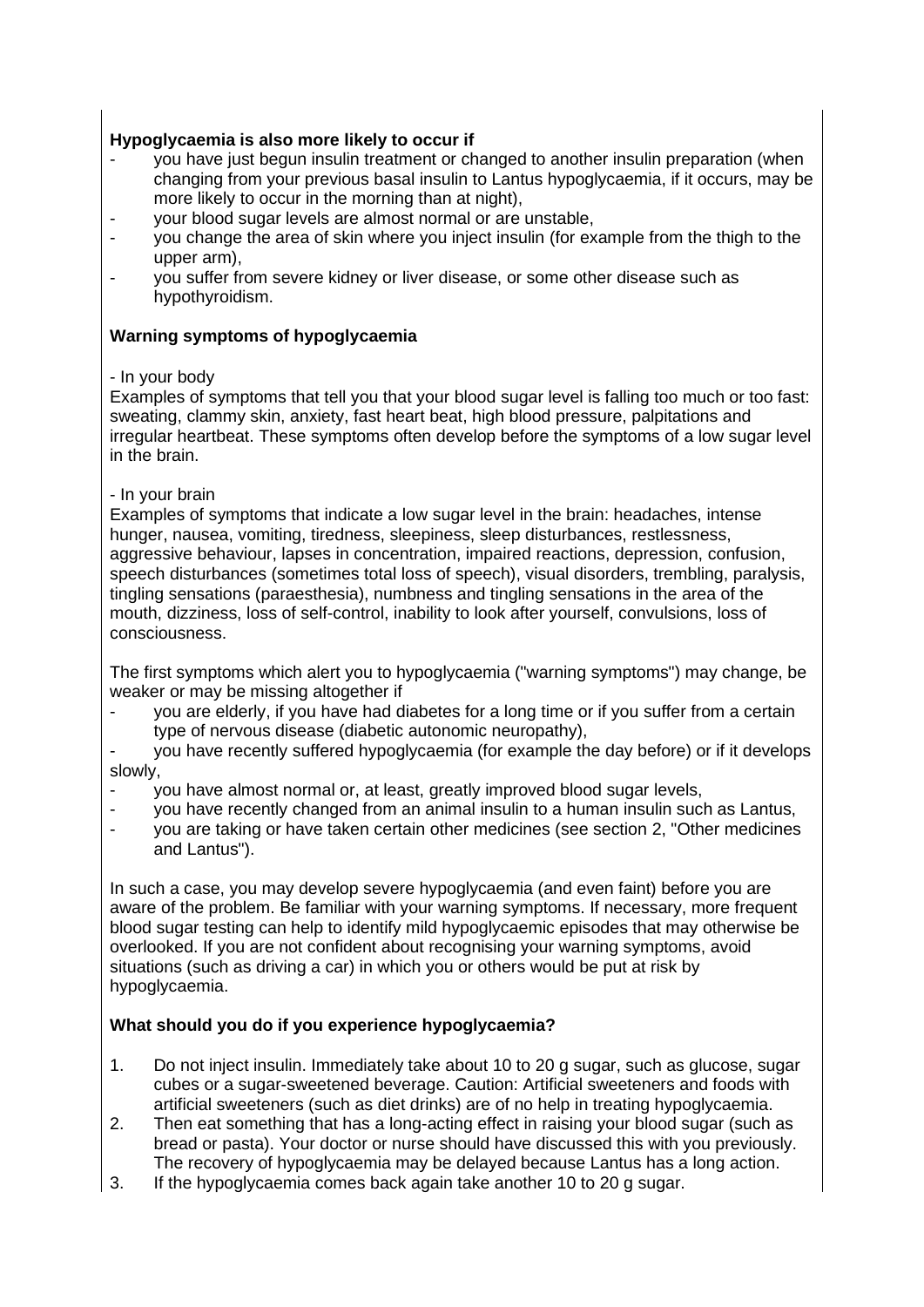# **Hypoglycaemia is also more likely to occur if**

- you have just begun insulin treatment or changed to another insulin preparation (when changing from your previous basal insulin to Lantus hypoglycaemia, if it occurs, may be more likely to occur in the morning than at night),
- your blood sugar levels are almost normal or are unstable,
- you change the area of skin where you inject insulin (for example from the thigh to the upper arm),
- you suffer from severe kidney or liver disease, or some other disease such as hypothyroidism.

# **Warning symptoms of hypoglycaemia**

# - In your body

Examples of symptoms that tell you that your blood sugar level is falling too much or too fast: sweating, clammy skin, anxiety, fast heart beat, high blood pressure, palpitations and irregular heartbeat. These symptoms often develop before the symptoms of a low sugar level in the brain.

# - In your brain

Examples of symptoms that indicate a low sugar level in the brain: headaches, intense hunger, nausea, vomiting, tiredness, sleepiness, sleep disturbances, restlessness, aggressive behaviour, lapses in concentration, impaired reactions, depression, confusion, speech disturbances (sometimes total loss of speech), visual disorders, trembling, paralysis, tingling sensations (paraesthesia), numbness and tingling sensations in the area of the mouth, dizziness, loss of self-control, inability to look after yourself, convulsions, loss of consciousness.

The first symptoms which alert you to hypoglycaemia ("warning symptoms") may change, be weaker or may be missing altogether if

you are elderly, if you have had diabetes for a long time or if you suffer from a certain type of nervous disease (diabetic autonomic neuropathy),

you have recently suffered hypoglycaemia (for example the day before) or if it develops slowly,

- you have almost normal or, at least, greatly improved blood sugar levels,
- you have recently changed from an animal insulin to a human insulin such as Lantus,
- you are taking or have taken certain other medicines (see section 2, "Other medicines and Lantus").

In such a case, you may develop severe hypoglycaemia (and even faint) before you are aware of the problem. Be familiar with your warning symptoms. If necessary, more frequent blood sugar testing can help to identify mild hypoglycaemic episodes that may otherwise be overlooked. If you are not confident about recognising your warning symptoms, avoid situations (such as driving a car) in which you or others would be put at risk by hypoglycaemia.

# **What should you do if you experience hypoglycaemia?**

- 1. Do not inject insulin. Immediately take about 10 to 20 g sugar, such as glucose, sugar cubes or a sugar-sweetened beverage. Caution: Artificial sweeteners and foods with artificial sweeteners (such as diet drinks) are of no help in treating hypoglycaemia.
- 2. Then eat something that has a long-acting effect in raising your blood sugar (such as bread or pasta). Your doctor or nurse should have discussed this with you previously. The recovery of hypoglycaemia may be delayed because Lantus has a long action.
- 3. If the hypoglycaemia comes back again take another 10 to 20 g sugar.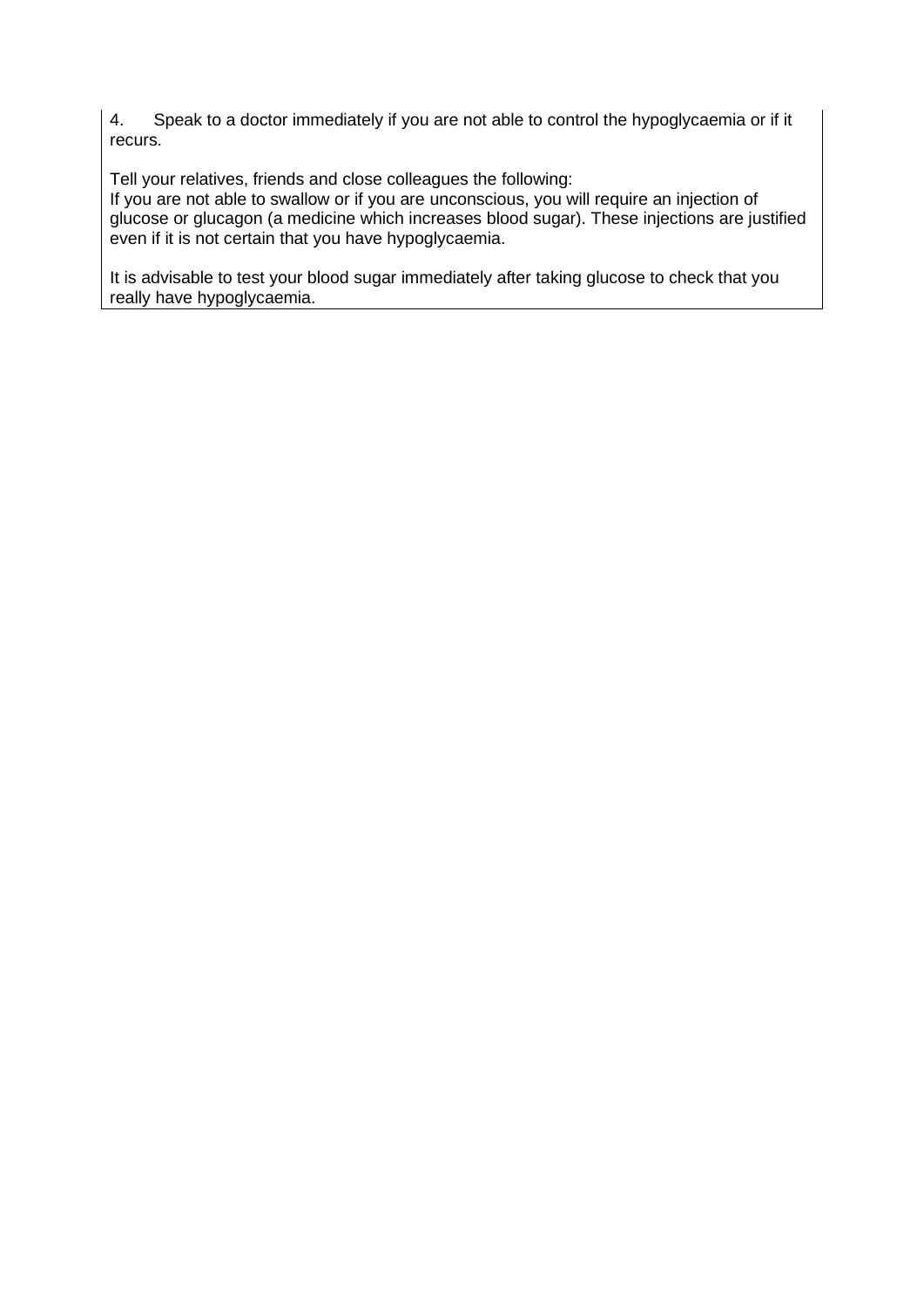4. Speak to a doctor immediately if you are not able to control the hypoglycaemia or if it recurs.

Tell your relatives, friends and close colleagues the following:

If you are not able to swallow or if you are unconscious, you will require an injection of glucose or glucagon (a medicine which increases blood sugar). These injections are justified even if it is not certain that you have hypoglycaemia.

It is advisable to test your blood sugar immediately after taking glucose to check that you really have hypoglycaemia.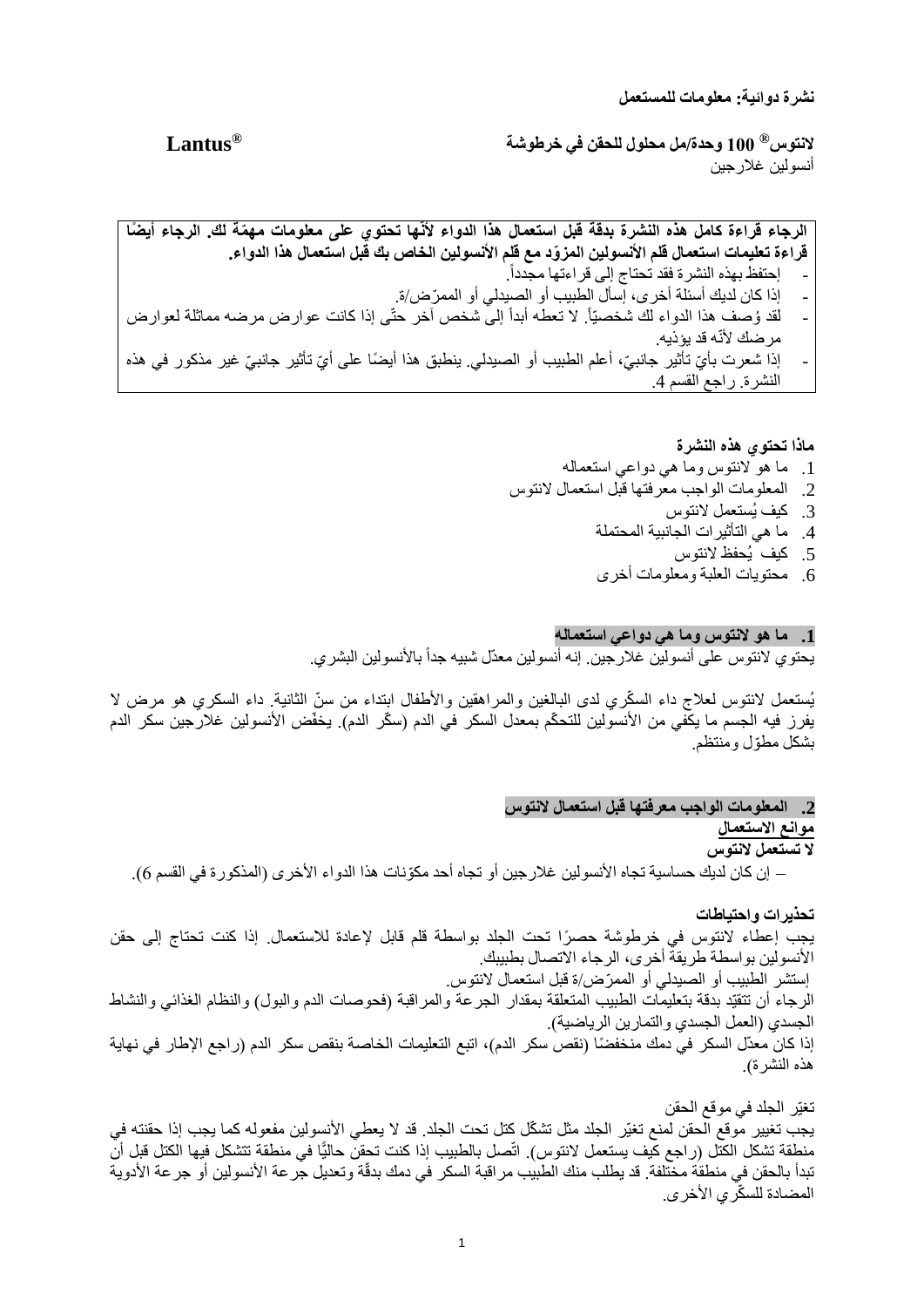**نشرة دوائية: معلومات للمستعمل**

**Lantus ® 100 وحدة/مل محلول للحقن في خرطوشة <sup>R</sup> النتوس** أنسولين غلارجين

الرجاء قراءة كامل هذه النشرة بدقة قبل استعمال هذا الدواء لأنّها تحتوى على معلومات مهمّة لك. الرجاء أيضًا قراءة تعليمات استعمال قلم الأنسولين المزوّد مع قلم الأنسولين الخاص بك قبل استعمال هذا الدواء. . - إحتفظ بهذه النشرة فقد تحتاج إلى قراءتها مجدداً - إذا كان لديك أسئلة أخرى، إسأل الطبيب أو الصيدلي أو الممرّض/ة.<br>- لقد هُ صف هذا الده اء لك شخصتاً لا تعطه أبداً الى شخص آخر حةٌ - لقد وُصف هذا الدواء لك شخصيّاً. لا تعطه أبداً إلى شخص آخر حتّى إذا كانت عوارض مرضه مماثلة لعوارض مر ضك لأنّه قد يؤذيه. - إذا شعرت بأيّ تأثير جانبيّ، أعلم الطبيب أو الصبدلي. ينطبق هذا أيضًا على أيّ تأثير جانبيّ غير مذكور في هذه النشرة. راجع القسم .4

#### **ماذا تحتوي هذه النشرة**

- .1 ما هو النتوس وما هي دواعي استعماله
- .2 المعلومات الواجب معرفتها قبل استعمال النتوس
	- .3 كيف يُستعمل النتوس
	- .4 ما هي التأثيرات الجانبية المحتملة
		- .5 كيف يُحفظ النتوس
	- .6 محتويات العلبة ومعلومات أخرى

#### **.1 ما هو النتوس وما هي دواعي استعماله**

يحتوي لانتوس على أنسولين غلارجين. إنه أنسولين معدّل شبيه جداً بالأنسولين البشري.

يُستعمل لانتوس لعلاج داء السكّري لدى البالغين والمراهقين والأطفال ابتداء من سنّ الثانية. داء السكري هو مرض لا يفرز فيه الجسم ما يكفي من الأنسولين للتحكّم بمعدل السكر في الدم (سكّر الدم). يخفّض الأنسولين غلارجين سكر الدم بشكل مطّول ومنتظم.

#### **.2 المعلومات الواجب معرفتها قبل استعمال النتوس** موانع الاستع*م*ال

# **ال تستعمل النتوس**

− إن كان لديك حساسية تجاه األنسولين غالرجين أو تجاه أحد مكّونات هذا الدواء األخرى )المذكورة في القسم 6(.

**تحذيرات واحتياطات** يجب إعطاء النتوس في خرطوشة حص ًرا تحت الجلد بواسطة قلم قابل إلعادة لالستعمال. إذا كنت تحتاج إلى حقن األنسولين بواسطة طريقة أخرى، الرجاء االتصال بطبيبك. إستشر الطبيب أو الصيدلي أو الممّرض/ة قبل استعمال النتوس. الرجاء أن تتقيّد بدقة بتعليمات الطبيب المتعلقة بمقدار الجرعة والمراقبة (فحوصات الدم والبول) والنظام الغذائي والنشاط الجسدي (العمل الجسدي والتمارين الرياضية). إذا كان معدّل السكر في دمك منخفضًا (نقص سكر الدم)، اتبع التعليمات الخاصة بنقص سكر الدم (راجع الإطار في نهاية هذه النشر ة).

تغيّر الجلد في موقع الحقن يجب تغيير موقع الحقن لمنع تغيّر الجلد مثل تشكّل كتل تحت الجلد. قد لا يعطي الأنسولين مفعوله كما يجب إذا حقنته في منطقة تشكل الكتل (راجع كيف يستعمل لانتوس). اتّصل بالطبيب إذا كنت تحقن حاليًّا في منطقة تتشكل فيها الكتل قبل أن تبدأ بالحقن في منطقة مختلفة. قد يطلب منك الطبيب مر اقبة السكر في دمك بدقّة وتعديل جرعة الأنسولين أو جرعة الأدوية المضادة للسكّري الأخرى.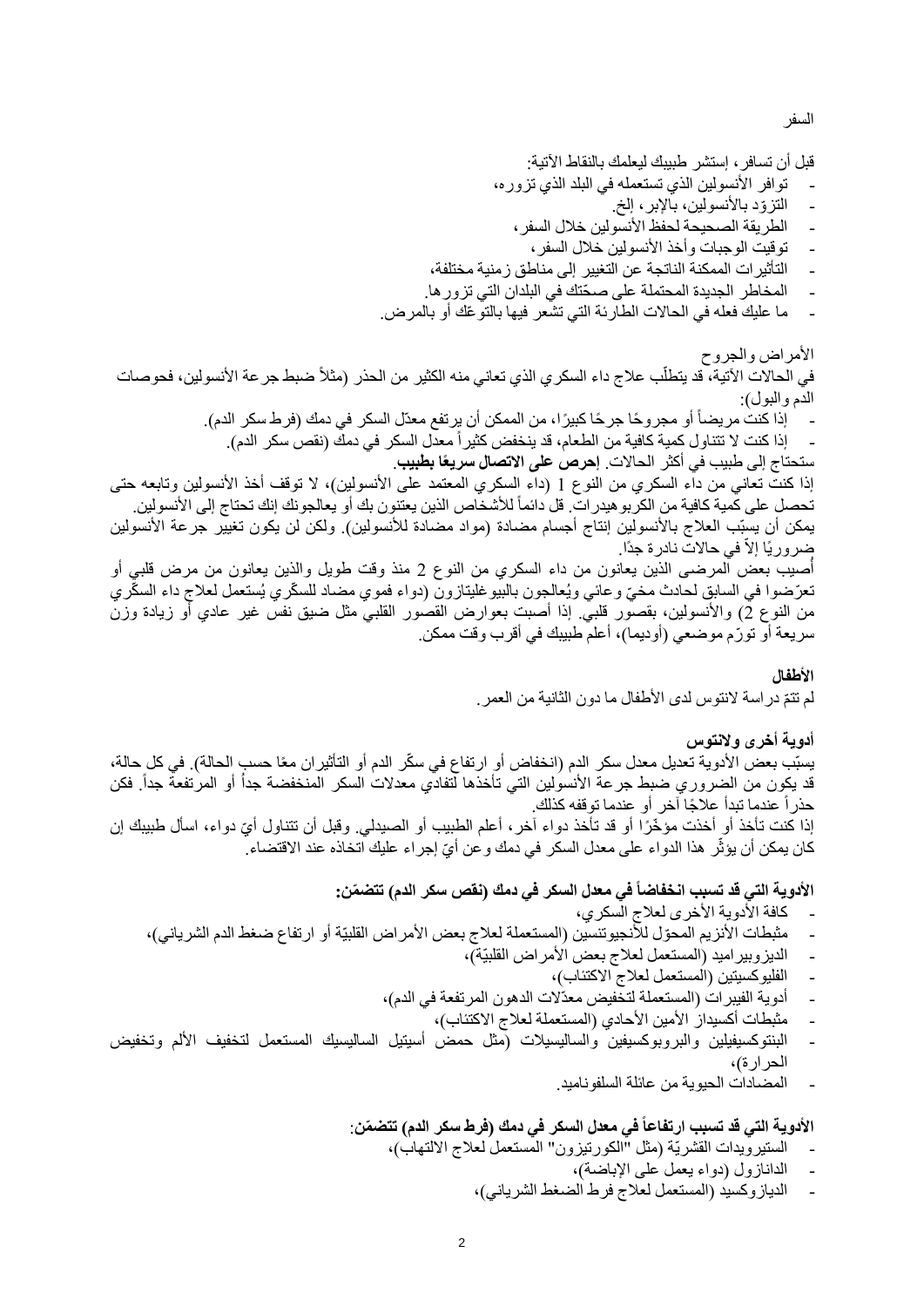السفر

قبل أن تسافر، إستشر طبيبك ليعلمك بالنقاط اآلتية:

- توافر األنسولين الذي تستعمله في البلد الذي تزوره،
	- التزوّد بالأنسولين، بالإبر، إلخ.
	- الطريقة الصحيحة لحفظ الأنسولين خلال السفر ،
		- توقيت الوجبات وأخذ األنسولين خالل السفر،
- التأثيرات الممكنة الناتجة عن التغيير إلى مناطق زمنية مختلفة،
- المخاطر الجديدة المحتملة على صحّتك في البلدان التي تزور ها.
- ما عليك فعله في الحاالت الطارئة التي تشعر فيها بالتو ّعك أو بالمرض.

الأمراض والجروح ֧֧֦֧֦֧֚֝֬֓֓֜*֟* في الحالات الآتية، قد يتطلّب علاج داء السكر ي الذي تعانى منه الكثير من الحذر (مثلاً ضبط جر عة الأنسولين، فحوصات الدم والبول): - إذا كنت مريضاً أو مجروحًا جرحًا كبيرًا، من الممكن أن يرتفع معدّل السكر في دمك (فرط سكر الدم). إذا كنت لا تتناول كمية كافية من الطعام، قد ينخفض كثير اً معدل السكر في دمك (نقص سكر الدم).

ستحتاج إلى طبيب في أكثر الحاالت. **إحرص على االتصال سريعًا بطبيب**. إذا كنت تعاني من داء السكري من النوع 1 (داء السكري المعتمد على الأنسولين)، لا توقف أخذ الأنسولين وتابعه حتى تحصل على كمية كافية من الكربو هيدرات. قل دائماً للأشخاص الذين يعتنون بك أو يعالجونك إنك تحتاج إلى الأنسولين. يمكن أن يسبّب العلاج بالأنسولين إنتاج أجسام مضادة (مواد مضادة للأنسولين). ولكن لن يكون تغيير جرعة الأنسولين

ضروريًا إلاّ في حالاتٌ نادرة جدًا. أصيب بعض ٱلمرضـى الذين يعانون من داء السكري من النوع 2 منذ وقت طويل والذين يعانون من مرض قلبي أو تعرّضوا في السابق لحادث مخيّ وعائي ويُعالجون بالبيو غليتازون (دواء فموي مضاد للسكّري يُستعمل لعلاج داء السكّري من النوع 2) والأنسولين، بقصور قلبي. إذا أصبت بعوارض القصور القلبي مثل ضيق نفس غير عادي أو زيادة وزن سريعة أو تورّم موضعي (أوديما)، أعلم طبيبك في أقرب وقت ممكن.

#### **األطفال**

لم تتمّ دراسة لانتوس لدى الأطفال ما دون الثانية من العمر .

# **أدوية أخرى والنتوس**

يسبّب بعض الأدوية تعديل معدل سكر الدم (انخفاض أو ارتفاع في سكّر الدم أو التأثيران معًا حسب الحالة). في كل حالة، قد يكون من الضروري ضبط جرعة الأنسولين التي تأخذها لتفادي معدلات السكر المنخفضة جدأ أو المرتفعة جداً. فكن حذر أ عندما تبدأ علاجًا آخر أو عندما توقفه كذلك.

إذا كنت تأخذ أو أخذت مؤخّرًا أو قد تأخذ دواء آخر ، أعلم الطبيب أو الصيدلي. وقبل أن تتناول أيّ دواء، اسأل طبيبك إن كان يمكن أن يؤثّر هذا الدواء على معدل السكر في دمك و عن أيّ إجراء عليك اتخاذه عند الاقتضاء ۖ

## **األدوية التي قد تسبب انخفاضاً في معدل السكر في دمك )نقص سكر الدم( تتض ّمن:**

- كافة الأدوية الأخرى لعلاج السكري،
- مثبطات الأنزيم المحوّل للأنجيوتنسين (المستعملة لعلاج بعض الأمر اض القلبيّة أو ارتفاع ضغط الدم الشرياني)،
	- الديزوبيراميد (المستعمل لعلاج بعض الأمراض القلبيّة)،
		- الفليوكسيتين (المستعمل لعلاج الاكتئاب)،
	- أدوية الفيبرات (المستعملة لتخفيض معدّلات الدهون المرتفعة في الدم)،
		- مثبطات أكسيداز الأمين الأحادي (المستعملة لعلاج الاكتئاب)،
- البنتوكسيفيلين والبروبوكسيفين والساليسيلات (مثل حمض أسيتيل الساليسيك المستعمل لتخفيف الألم وتخفيض الحرارة)،
	- المضادات الحيوية من عائلة الس لفوناميد.

# **األدوية التي قد تسبب ارتفاع اً في معدل السكر في دمك )فرط سكر الدم( تتض ّمن**:

- الستيرويدات القشريّة (مثل "الكورتيزون" المستعمل لعلاج الالتهاب)،
	- الدانازول (دواء يعمل على الإباضة)،
	- الديازوكسيد (المستعمل لعلاج فرط الضغط الشرياني)،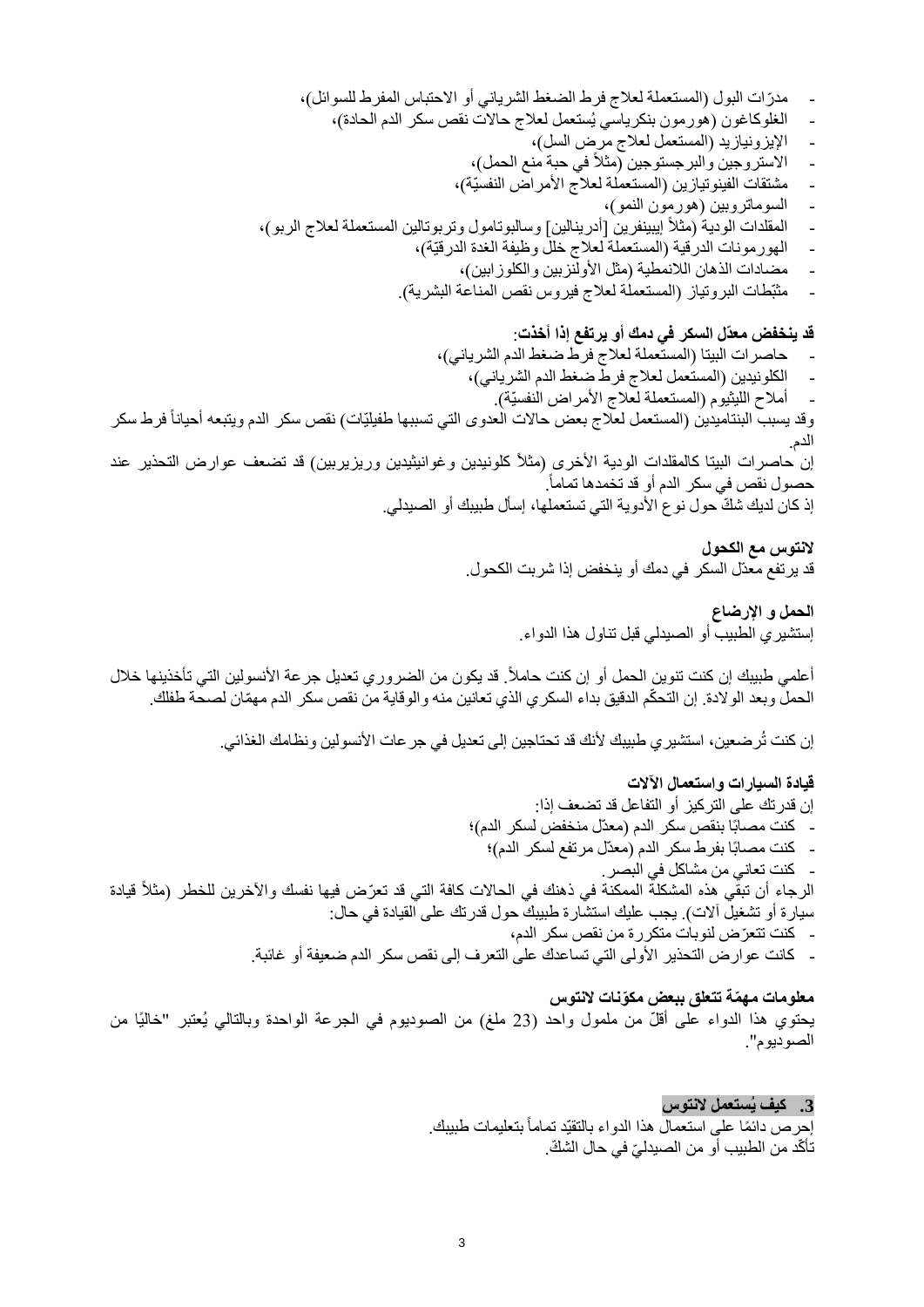- مدرّ ات البول (المستعملة لعلاج فرط الضغط الشرياني أو الاحتباس المفرط للسوائل)،
	- الغلوكاغون (هورمون بنكرياسي يُستعمل لعلاج حالات نقص سكر الدم الحادة)،
		- الإيزونيازيد (المستعمل لعلاج مرض السل)،
		- الاستروجين والبرجستوجين (مثلاً في حبة منع الحمل)،
		- مشتقات الفينوتيازين (المستعملة لعلاج الأمراض النفسيّة)،
			- السوماتروبين )هورمون النمو(،
- المقلدات الودية (مثلاً إيبينفرين [أدرينالين] وسالبوتامول ونربوتالين المستعملة لعلاج الربو)،
	- الهورمونات الدرقية (المستعملة لعلاج خلل وظيفة الغدة الدرقيّة)،
		- مضادات الذهان اللانمطية (مثل الأولنزبين والكلوزابين)،
	- مثبّطات البروتياز (المستعملة لعلاج فيروس نقص المناعة البشرية).

**قد ينخفض معدّل السكر في دمك أو يرتفع إذا أخذت**: حاصرات البيتا (المستعملة لعلاج فرط ضغط الدم الشرياني)، الكلونيدين (المستعمل لعلاج فرط ضغط الدم الشرياني)، أملاح الليثيوم (المستعملة لعلاج الأمراض النفسيّة). وقد يسبب البنتاميدين (المستعمل لعلاج بعض حالات العدوى التي تسببها طفيليّات) نقص سكر الدم ويتبعه أحياناً فرط سكر الدم. إن حاصرات البيتا كالمقلدات الودية الأخرى (مثلأ كلونيدين وغوانيثيدين وريزيربين) قد تضعف عوارض التحذير عند . حصول نقص في سكر الدم أو قد تخمدها تماماً إذ كان لديك شكّ حول نوع الأدوية التي تستعملها، إسأل طبيبك أو الصبدلي.

> **النتوس مع الكحول** قد يرتفع معدّل السكر في دمك أو ينخفض إذا شربت الكحول.

> > **الحمل و اإلرضاع**  إستشيري الطبيب أو الصيدلي قبل تناول هذا الدواء.

أعلمي طبيبك إن كنت تنوين الحمل أو إن كنت حاملاً. قد يكون من الضروري تعديل جر عة الأنسولين التي تأخذينها خلال الحمل وبعد الولادة. إن التحكّم الدقيق بداء السكري الذي تعانين منه والوقاية من نقص سكر الدم مهمّان لصحة طفلك.

إن كنت تُرضعين، استشير ي طبيبك لأنك قد تحتاجين إلى تعديل في جر عات الأنسولين ونظامك الغذائي.

#### **قيادة السيارات واستعمال اآلالت**

إن قدرتك على التركيز أو التفاعل قد تضعف إذا: - كنت مصابًا بنقص سكر الدم (معدّل منخفض لسكر الدم)؛ - كنت مصابًا بفرط سكر الدم (معدّل مرتفع لسكر الدم)؛ - كنت تعاني من مشاكل في البصر. الرجاء أن تبقي هذه المشكلة الممكنة في ذهنك في الحالات كافة التي قد تعرّض فيها نفسك والآخرين للخطر (مثلاً قيادة سيارة أو تشغيل آلات). يجب عليك استشارة طبيبك حول قدرتك على القيادة في حال: - كنت تتعّرض لنوبات متكررة من نقص سكر الدم، - كانت عوارض التحذير األولى التي تساعدك على التعرف إلى نقص سكر الدم ضعيفة أو غائبة.

#### **معلومات مه ّمة تتعلق ببعض مكّونات النتوس**

يحتوي هذا الدواء على أقلّ من ملمول واحد (23 ملغ) من الصوديوم في الجرعة الواحدة وبالتالي يُعتبر "خاليًا من الصوديوم".

# **.3 كيف يُستعمل النتوس**

إحرص دائمًا على استعمالُ هذا الدواء بالتقيّد تماماً بتعليمات طبيبك. نَأكّد من الطبيب أو من الصيدليّ في حال الشكّ.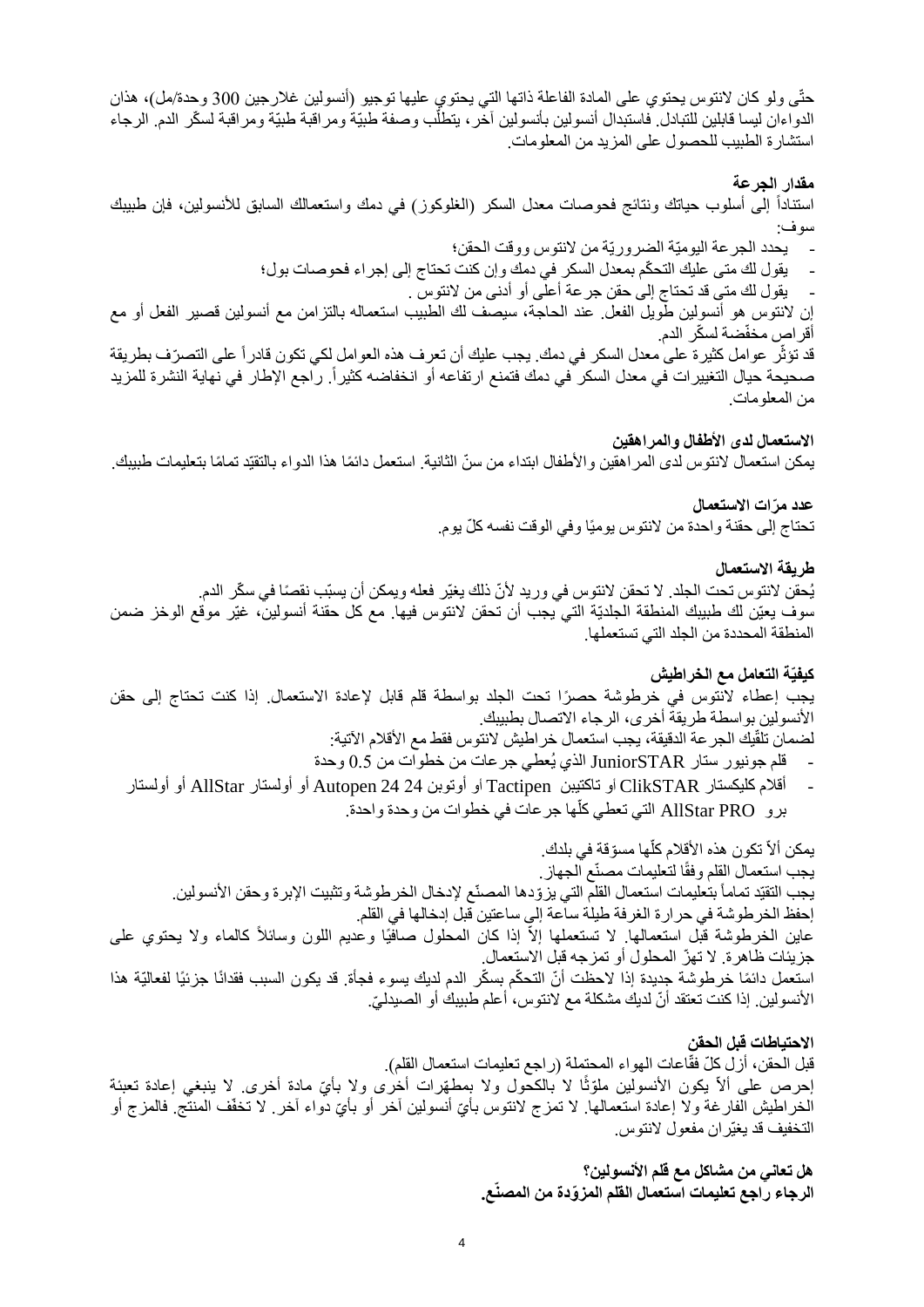حتّى ولو كان النتوس يحتوي على المادة الفاعلة ذاتها التي يحتوي عليها توجيو )أنسولين غالرجين 300 وحدة/مل(، هذان الدواءان ليسا قابلين للتبادل. فاستبدال أنسولين بأنسولين آخّر، يتطلُّب وصفة طبيّةً ومراقبة طبيّة ومراقبة لسكّر الدم. الرجاء استشارة الطبيب للحصول على المزيد من المعلومات.

**مقدار الجرعة**  استناداً إلى أسلوب حياتك ونتائج فحوصات معدل السكر (الغلوكوز) في دمك واستعمالك السابق للأنسولين، فإن طبيبك سوف: - يحدد الجرعة اليوميّة الضروريّة من النتوس ووقت الحقن؛ يقول لك متى عليك التحكّم بمعدل السكر في دمك وإن كنت تحتاج إلى إجراء فحوصات بول؛ - يقول لك متى قد تحتاج إلى حقن جرعة أعلى أو أدنى من النتوس . إن النتوس هو أنسولين طويل الفعل. عند الحاجة ، سيصف لك الطبيب استعماله بالتزامن مع أنسولين قصير الفعل أو مع أقر اص مخفّضة لسكّر الدم. قد تؤثّر عوامل كثيرة على معدل السكر في دمك. يجب عليك أن تعرف هذه العوامل لكي تكون قادراً على التصرّف بطريقة صحيحة حيال التغيير ات في معدل السكر ً في دمك فتمنع ارتفاعه أو انخفاضه كثيراً. راجع الإطار في نهاية النشرة للمزيد من المعلومات.

**االستعمال لدى األطفال والمراهقين** يمكن استعمال لانتوس لدى المر اهقين والأطفال ابتداء من سنّ الثانية. استعمل دائمًا هذا الدواء بالتقيّد تمامًا بتعليمات طبيبك.

> **عدد م ّرات االستعمال** تحتاج إلى حقنة واحدة من لانتوس يوميًا وفي الوقت نفسه كلّ يوم.

> > **طريقة االستعمال**

يُحقن لانتوس تحت الجلد. لا تحقن لانتوس في وريد لأنّ ذلك يغيّر فعله ويمكن أن يسبّب نقصًا في سكّر الدم. سوف يعيّن لك طبيبك المنطقة الجلديّة التي يجب أن تحقن النتوس فيها. مع كل حقنة أنسولين، غيّر موقع الوخز ضمن المنطقة المحددة من الجلد التي تستعملها.

**كيفيّة التعامل مع الخراطيش**

يجب إعطاء لانتوس في خرطوشة حصرًا تحت الجلد بواسطة قلم قابل لإعادة الاستعمال. إذا كنت تحتاج إلى حقن األنسولين بواسطة طريقة أخرى، الرجاء االتصال بطبيبك.

لضمان تلقّيك الجر عة الدقيقة، يجب استعمال خر اطيش لانتوس فقط مع الأقلام الآتية:

- قلم جونيور ستار JuniorSTAR الذي يُعطي جرعات من خطوات من 0.5 وحدة
- أقالم كليكستار ClikSTAR أو تاكتيبن Tactipen أو أوتوبن 24 24 Autopen أو أولستار AllStar أو أولستار ّبرو AllStar PRO التي تعطي كلها جر عات في خطوات من وحدة واحدة.

يمكن ألاّ تكون هذه الأقلام كلّها مسوّقة في بلدك. اً يجب استعمال القلم وفقًا لتعليمات مصنّع الجهاز . يجب التقيّد تماماً بتعليمات استعمال القلّم التي يزوّدها المصنّع لإدخال الخرطوشة وتثبيت الإبرة وحقن الأنسولين. إحفظ الخرطوشة في حرارة الغرفة طيلة ساعة إلى ساعتين قبل إدخالها في القلم. عاين الخرطوشة قبّل استعمالها. لا تستعملها إلاّ إذا كان المحلول صافيًا وعديم اللون وسائلاً كالماء ولا يحتوي على جزيئات ظاهرة. ال تهّز المحلول أو تمزجه قبل االستعمال. استعمل دائمًا خر طوشة جديدة إذا لاحظت أنّ التحكّم بسكّر الدم لديك يسوء فجأة. قد يكون السبب فقدانًا جزئيًا لفعاليّة هذا الأنسولين. إذا كنت تعتقد أنّ لديك مشكلة مع لانتوس، أعلم طبيبك أو الصيدليّ.

**االحتياطات قبل الحقن**  قبل الحقن، أزل كلّ فقّاعات الهواء المحتملة (راجع تعليمات استعمال القلم). إحرص على ألاّ يكون الأنسولين ملوّثًا لا بالكحّول ولا بمطهّرات أخرى ولا بأيّ مادة أخرى. لا ينبغي إعادة تعبئة الخراطيش الفارغة ولا إعادة استعمالها. لا تمزج لانتوس بأيّ أنسولين آخر أو بأيّ دواء آخر. لا تخفّف المنتج فالمزج أو التخفيف قد يغيّران مفعول النتوس.

> **هل تعاني من مشاكل مع قلم األنسولين؟ الرجاء راجع تعليمات استعمال القلم المز ّودة من المصنّع.**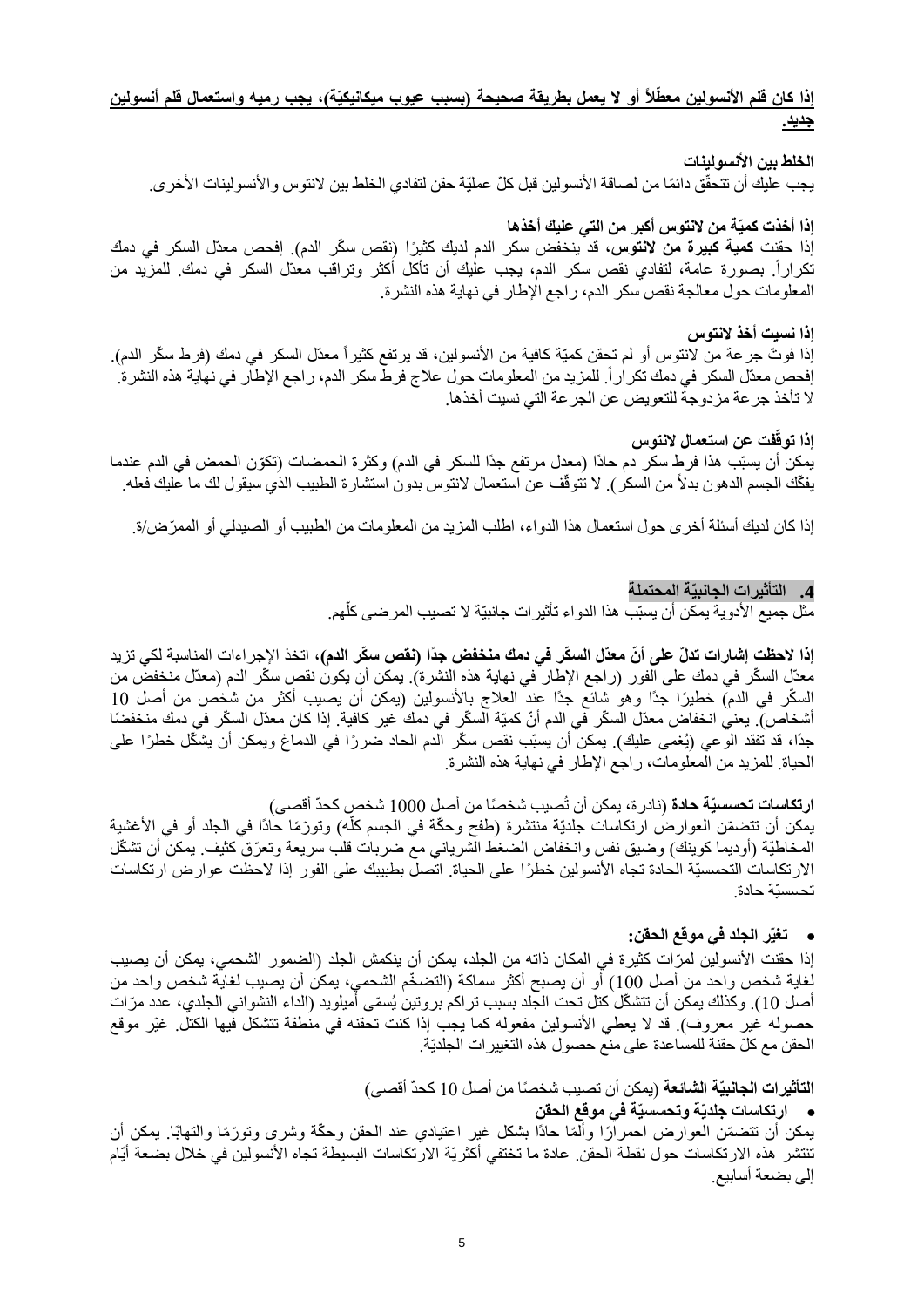## إذا كان قلم الأنسولين معطّلًا أو لا يعمل بطريقة صحيحة (بسبب عيوب ميكانيكيّة)، يجب رميه واستعمال قلم أنسولين **جديد.**

ا**لخلط بين الأنسولينات** يجب عليك أن تتحقّق دائمًا من لصاقة الأنسولين قبل كلّ عمليّة حقن لتفادي الخلط بين لانتوس والأنسولينات الأخرى.

**إذا أخذت كميّة من النتوس أكبر من التي عليك أخذها** 

إذا حقنت **كمية كبيرة من لانتوس،** قد ينخفض سكر الدم لديك كثيرًا (نقص سكّر الدم). إفحص معدّل السكر في دمك تكراراً. بصورة عامة، لتفادي نقص سكر الدم، يجب عليك أن تأكل أكثر وتراقب معدّل السكر في دمك. للمزّيد من المعلومات حول معالجة نقص سكر الدم، راجع اإلطار في نهاية هذه النشرة.

**إذا نسيت أخذ النتوس** إذا فوتّ جرعة من لانتوس أو لم تحقن كميّة كافية من الأنسولين، قد يرتفع كثيراً معدّل السكر في دمك (فرط سكّر الدم). إفحص معدّل السكر في دمك تكراراً. للمزيد من المعلومات حول علاج فرطّ سكر الدم، راجع الإطاّر في نهاية هذه النشرة. ال تأخذ جرعة مزدوجة للتعويض عن الجرعة التي نسيت أخذها.

**فت عن استعمال النتوس إذا توقّ**

يمكن أن يسبّب هذا فرط سكر دم حادًا (معدل مرتفع جدًا للسكر في الدم) وكثرة الحمضات (تكوّن الحمض في الدم عندما يفكّك الجسم الدهون بدلاً من السكر ). لا تتوقّف عن استعمال لانتوس بدون استشارة الطبيب الذي سيقول لك ما عليك فعله.

إذا كان لديك أسئلة أخرى حول استعمال هذا الدواء، اطلب المزيد من المعلومات من الطبيب أو الصيدلي أو الممّرض/ة.

**.4 التأثيرات الجانبيّة المحتملة**

֖֖֖֖֖֖֖֖֚֚֚֚֚֚֚֚֚֚֡֬<br>֧֢֚ مثل جميع الأدوية يمكن أن يسبّب هذا الدواء تأثيرات جانبيّة لا تصبب المرضى كلّهم.

إ**ذا لاحظت** إ**شارات تدلّ على أنّ معدّل السكّر في دمك منخفض جدًا (نقص سكّر الدم)،** اتخذ الإجر اءات المناسبة لكي تزيد معدّل السكّر في دمك على الفور (راجع الإطار في نهاية هذه النشرة). يمكن أن يكون نقص سكّر الدم (معدّل منخفض من السكّر في الدم) خطيرًا جدًا وهو شائع جدًا عند العلاج بالأنسولين (يمكن أن يصيب أكثر من شخص من أصل 10 أشخاص). يعني انخفاض معدّل السكّر في الدم أنّ كميّة السكّر في دمك غير كافية. إذا كان معدّل السكّر في دمك منخفضًا جدًا، قد تفقد الوعي (يُغمى عليك). يمكن أن يسبّب نقص سكّر الدم الحاد ضررًا في الدماغ ويمكن أن يشكّل خطرًا على الحياة. للمزيد من المعلومات، راجع اإلطار في نهاية هذه النشرة.

**ارتكاسات تحسسيّة حادة** (نادرة، يمكن أن تُصيب شخصًا من أصل 1000 شخص كحدّ أقصى) يمكن أن تتضمّن العوارض ارتكاسات جلديّة منتشرة (طفح وحكّة في الجسم كلّه) وتورّمًا حادًا في الجلد أو في الأغشية j المخاطيّة (أوديما كوينك) وضيق نفس وانخفاض الضغط الشرياني مع ضربات قلب سريعة وتعرّق كثيف. يمكن أن تشكّل الارتكاسات التحسسيّة الحادة تجاه الأنسولين خطرًا على الحياة. اتصل بطبيبك على الفور إذا لاحظت عوارض ارتكاسات تحسسيّة حادة.

#### • **تغيّر الجلد في موقع الحقن:**

إذا حقنت الأنسولين لمرّات كثيرة في المكان ذاته من الجلد، يمكن أن ينكمش الجلد (الضمور الشحمي، يمكن أن يصيب لغاية شخص واحد من أصل 100) أو أن يصبح أكثر سماكة (التضخّم الشحمي، يمكن أن يصيب لغاية شخص واحد من أصل 10). وكذلك يمكن أن تتشكّل كتل تحت الجلد بسبب تر اكم بروتين يُسمّى أميلويد (الداء النشواني الجلدي، عدد مرّات حصوله غير معروف). قد لا يعطي الأنسولين مفعوله كما يجب إذا كنت تحقنه في منطقة تتشكل فيها الكتل. غيّر موقع الحقن مع كلّ حقنة للمساعدة على منع حصول هذه التغييرات الجلديّة.

ا**لتأثيرات الجانبيّة الشائعة** (يمكن أن تصيب شخصًا من أصل 10 كحدّ أقصى)

• **ارتكاسات جلديّة وتحسسيّة في موقع الحقن**

يمكن أن تتضمّن العوارض احمرارًا وألمًا حادًا بشكل غير اعتيادي عند الحقن وحكّة وشرى وتورّمًا والتهابًا. يمكن أن تنتشر هذه االرتكاسات حول نقطة الحقن. عادة ما تختفي أكثريّة االرتكاسات البسيطة تجاه األنسولين في خالل بضعة أيّام إلى بضعة أسابيع.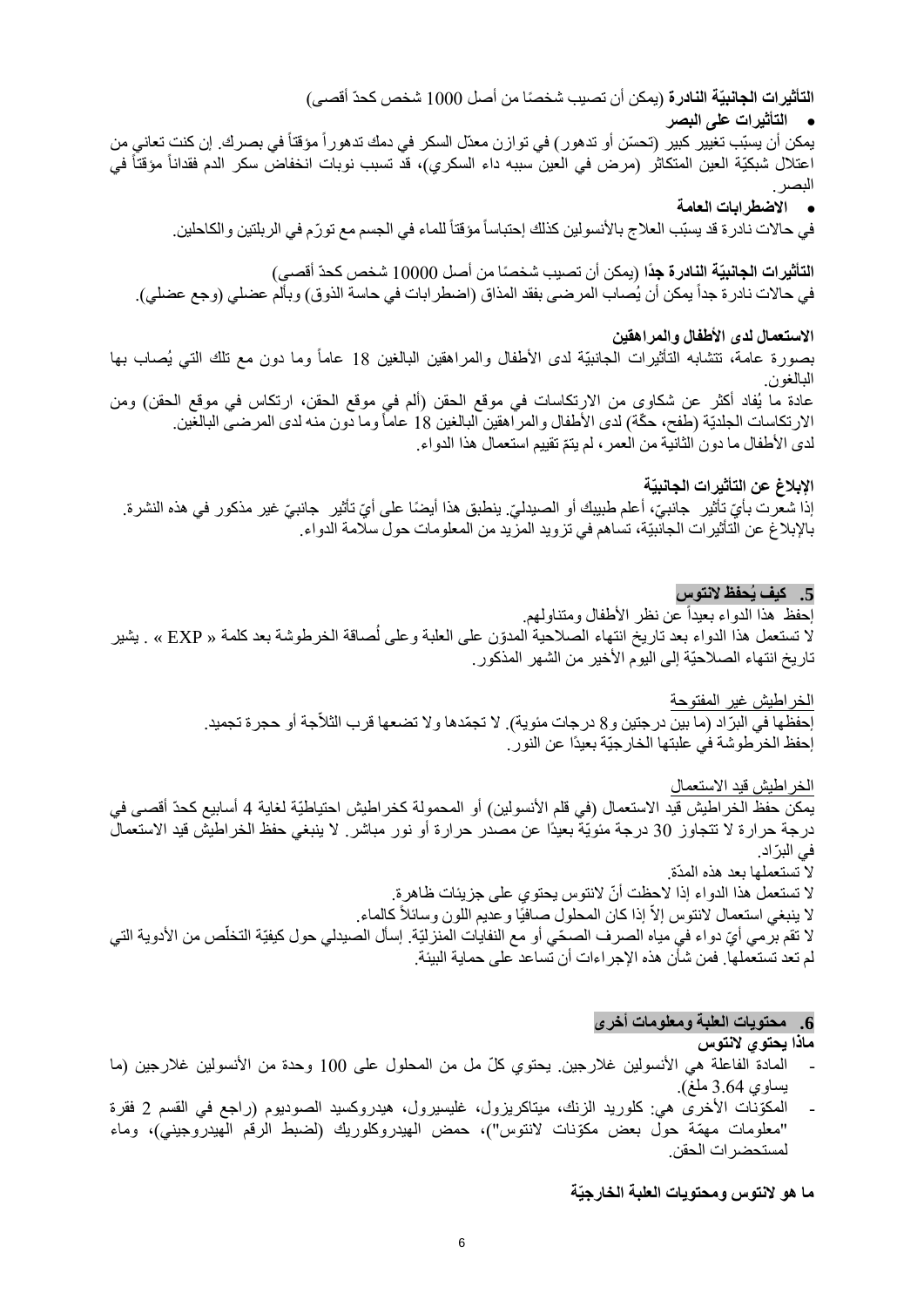ا**لتأثيرات الجانبيّة النادرة** (يمكن أن تصيب شخصًا من أصل 1000 شخص كحدّ أقصى)

• **التأثيرات على البصر** 

يمكن أن يسبّب تغيير كبير (تحسّن أو تدهور ) في توازن معدّل السكر في دمك تدهور أ مؤقتاً في بصرك. إن كنت تعاني من اعتلال شبكيّة العين المتكاثر (مرض في العين سببه داء السكري)، قد تسبب نوبات انخفاض سكر الدم فقداناً مؤقتاً في البصر.

• **االضطرابات العامة**

في حالات نادرة قد يسبّب العلاج بالأنسولين كذلك إحتباساً مؤقتاً للماء في الجسم مع تورّم في الربلتين والكاحلين.

ا**لتأثيرات الجانبيّة النادرة جدً**ا (يمكن أن تصيب شخصًا من أصل 10000 شخص كحدّ أقصى) في حالات نادرة جداً يمكن أن يُصاب المرضىي بفقد المذاق (اضطرابات في حاسة الذوق) وبألم عضلي (وجع عضلي).

# **االستعمال لدى األطفال والمراهقين**

بصورة عامة، تتشابه التأثيرات الجانبيّة لدى الأطفال والمراهقين البالغين 18 عاماً وما دون مع تلك التي يُصاب بها البالغون.

عادة ما يُفاد أكثر عن شكاوى من الارتكاسات في موقع الحقن (ألم في موقع الحقن، ارتكاس في موقع الحقن) ومن الارتكاسات الجلديّة (طفح، حكّة) لدى الأطفال والمراهقين البالغين 18 عاماً وما دون منه لدى المرضى البالغين. لدى الأطفال ما دون الثانية من العمر ، لم يتمّ نقييم استعمال هذا الدواء.

# **اإلبالغ عن التأثيرات الجانبيّة**

إذا شعرت بأيّ تأثير جانبيّ، أعلم طبيبك أو الصيدليّ. ينطبق هذا أيضًا على أيّ تأثير جانبيّ غير مذكور في هذه النشرة. باإلبالغ عن التأثيرات الجانبيّة، تساهم في تزويد المزيد من المعلومات حول سالمة الدواء.

### **.5 كيف يُحفظ النتوس**

احفظ هذا الدواء بعيداً عن نظر الأطفال ومتناولهم. لا تستعمل هذا الدواء بعد تاريخ انتهاء الصلاحية المدوّن على العلبة وعلى لُصاقة الخرطوشة بعد كلمة « EXP » . يشير تاريخ انتهاء الصلاحيّة إلى اليوم الأخير من الشهر المذكور.

الخراطيش غير المفتوحة

إحفظها في البرّاد (ما بين درجتين و8 درجات مئوية). لا تجمّدها ولا تضعها قرب الثلاّجة أو حجرة تجميد. إحفظ الخرطوشة في علبتها الخارجيّة بعيدًا عن النور.

الخراطيش قيد االستعمال يمكن حفظ الخراطيش قيد الاستعمال (في قلم الأنسولين) أو المحمولة كخراطيش احتياطيّة لغاية 4 أسابيع كحدّ أقصى في درجة حرارة ال تتجاوز 30 درجة مئويّة بعيدًا عن مصدر حرارة أو نور مباشر. ال ينبغي حفظ الخراطيش قيد االستعمال في البرّ اد. ال تستعملها بعد هذه المدّة. لا تستعمل هذا الدواء إذا لاحظت أنّ لانتوس يحتوي على جزيئات ظاهرة. لا ينبغي استعمال لانتوس إلاّ إذا كان المحلول صافيًا وعديم اللون وسائلاً كالماء.

لا تقم برّمي أيّ دواء في مياه الصرف الصحّي أو مع النفايات المنزليّة. إسأل الصيدلي حول كيفيّة التخلّص من الأدوية التي لم تعد تستعملها. فمن شأن هذه اإلجراءات أن تساعد على حماية البيئة.

#### **.6 محتويات العلبة ومعلومات أخرى**

**ماذا يحتوي النتوس** 

- المادة الفاعلة هي الأنسولين غلارجين. يحتوي كلّ مل من المحلول على 100 وحدة من الأنسولين غلارجين (ما يساوي 3.64 ملغ).
- المكّونات األخرى هي: كلوريد الزنك، ميتاكريزول، غليسير ول، هيدروكسيد الصوديوم )راجع في القسم 2 فقرة "معلومات مهّمة حول بعض مكّونات النتوس"(، حمض الهيدروكلوريك )لضبط الرقم الهيدروجيني(، وماء لمستحضرات الحقن.

**ما هو النتوس ومحتويات العلبة الخارجيّة**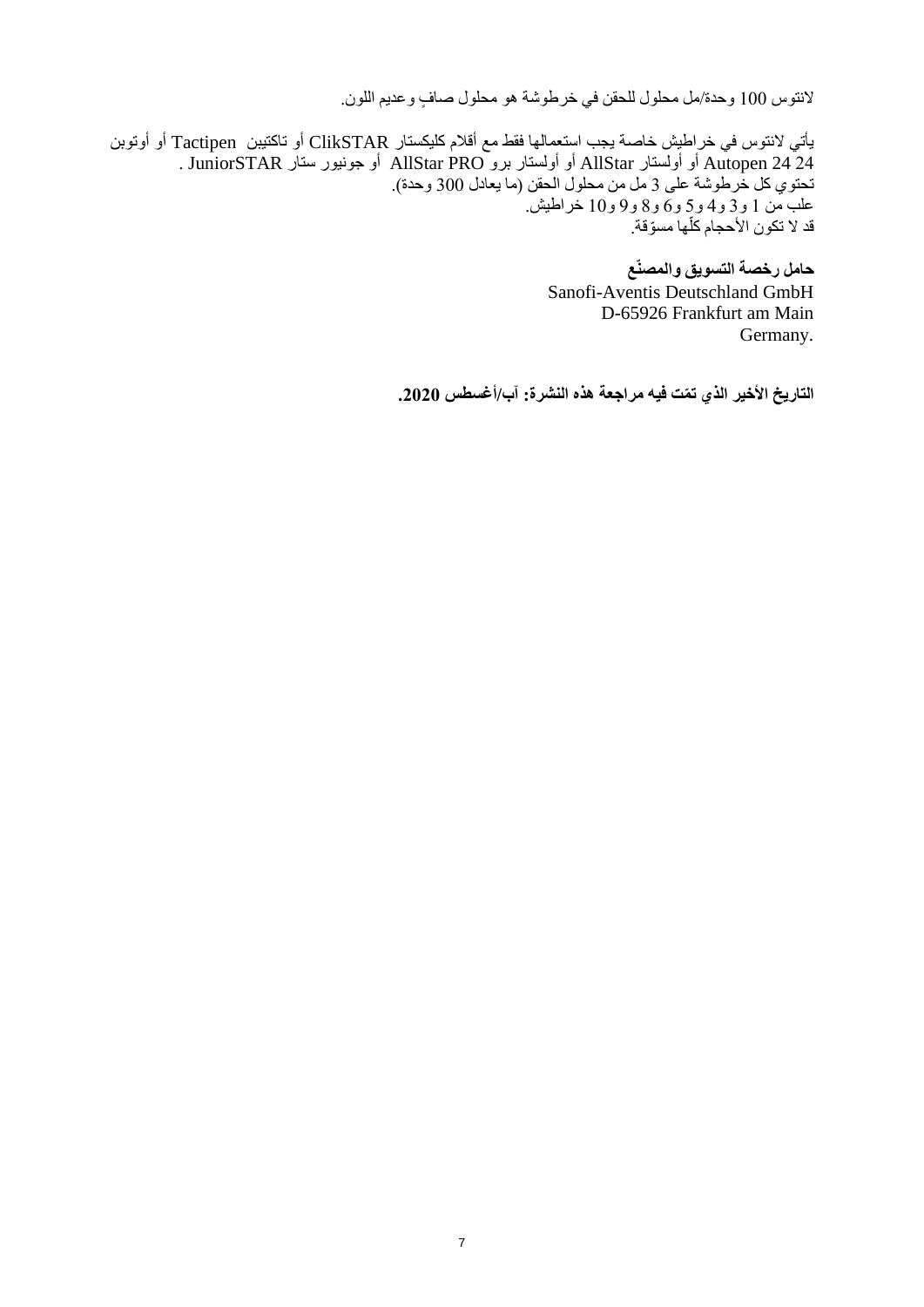لانتوس 100 وحدة/مل محلول للحقن في خرطوشة هو محلول صافٍ وعديم اللون.

يأتي النتوس في خراطيش خاصة يجب استعمالها فقط مع أقالم كليكستار ClikSTAR أو تاكتيبن Tactipen أو أوتوبن 24 24 Autopen أو أولستار AllStar أو أولستار برو PRO AllStar أو جونيور ستار JuniorSTAR . تحتوي كل خرطوشة على 3 مل من محلول الحقن )ما يعادل 300 وحدة(. علب من 1 و3 و4 و5 و6 و8 و 9 و10 خراطيش. قد لا تكون الأحجام كلها مسوّقة. أ

> **حامل رخصة التسويق والمصنّع** Sanofi-Aventis Deutschland GmbH D-65926 Frankfurt am Main Germany.

**التاريخ األخير الذي ت ّمت فيه مراجعة هذه النشرة: آب/أغسطس .2020**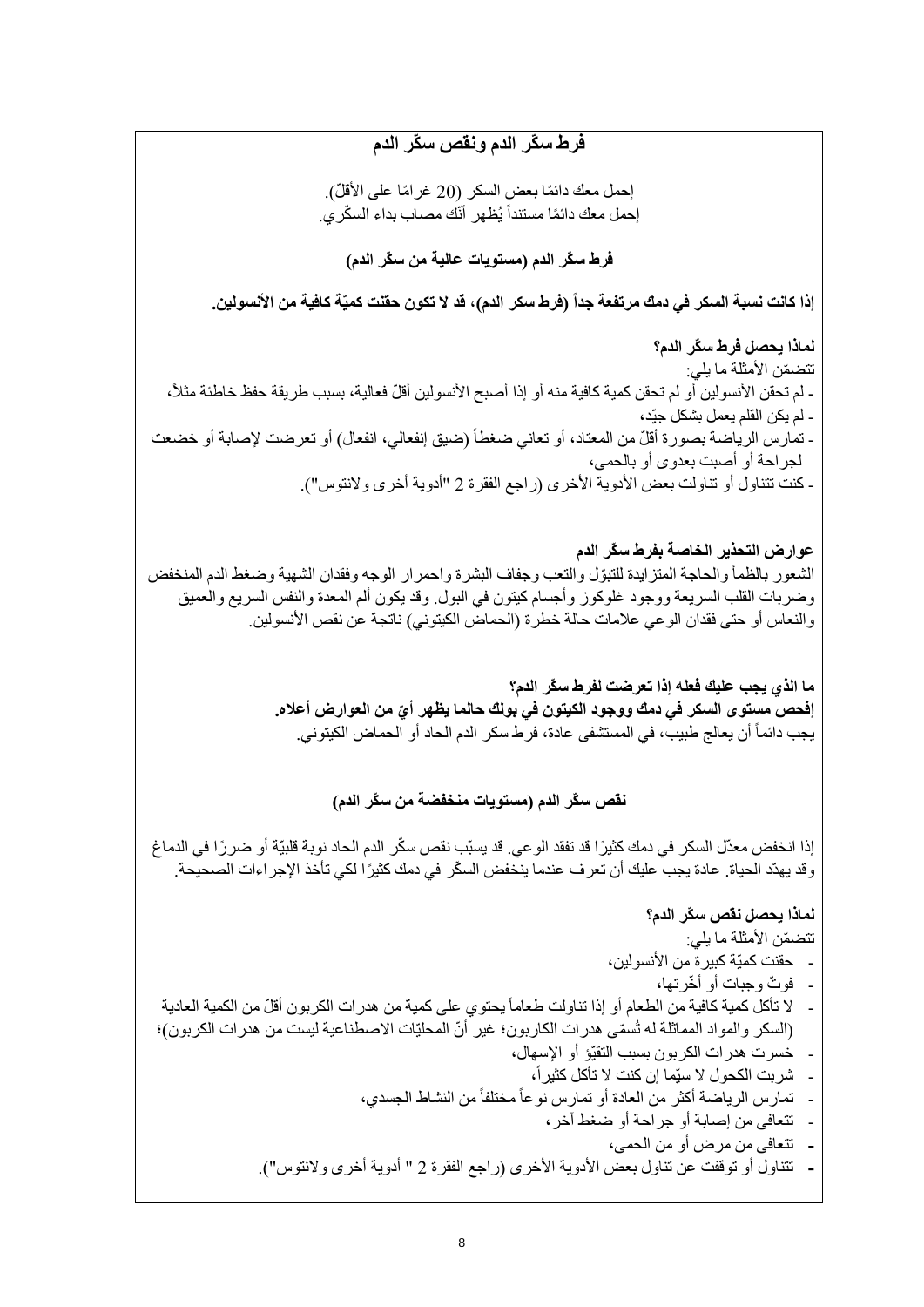# **فرط س ّكر الدم ونقص س ّكر الدم**

إحمل معك دائمًا بعض السكر (20 غرامًا على الأقلّ). إحمل معك دائمًا مستنداً يُظهر أنّك مصـاب بداء السكّري.

**فرط س ّكر الدم )مستويات عالية من س ّكر الدم(**

إذا كانت نسبة السكر في دمك مرتفعة جداً (فرط سكر الدم)، قد لا تكون حقنت كميّة كافية من الأنسولين.

**لماذا يحصل فرط س ّكر الدم؟** تتضمّن الأمثلة ما يلي: - لم تحقن الأنسولين أو لم تحقن كمية كافية منه أو إذا أصبح الأنسولين أقلّ فعالية، بسبب طريقة حفظ خاطئة مثلاً، - لم يكن القلم يعمل بشكل جيّد، - تمارس الرياضة بصورة أقلّ من المعتاد، أو تعاني ضغطاً (ضيق إنفعالي، انفعال) أو تعرضت لإصابة أو خضعت لجراحة أو أصبت بعدوى أو بالحمى، - كنت تتناول أو تناولت بعض الأدوية الأخرى (راجع الفقرة 2 "أدوية أخرى ولانتوس").

**عوارض التحذير الخاصة بفرط س ّكر الدم** الشعور بالظمأ والحاجة المتزايدة للتبوّل والتعب وجفاف البشرة واحمرار الوجه وفقدان الشهية وضغط الدم المنخفض وضربات القلب السريعة ووجود غلوكوز وأجسام كيتون في البول. وقد يكون ألم المعدة والنفس السريع والعميق والنعاس أو حتى فقدان الوعي علامات حالة خطرة (الحماض الكيتوني) ناتجة عن نقص الأنسولين.

> **ما الذي يجب عليك فعله إذا تعرضت لفرط س ّكر الدم؟ ّي إفحص مستوى السكر في دمك ووجود الكيتون في بولك حالما يظهر أ من العوارض أعاله.**  يجب دائماً أن يعالج طبيب، في المستشفى عادة، فرط سكر الدم الحاد أو الحماض الكيتوني.

> > **نقص س ّكر الدم )مستويات منخفضة من س ّكر الدم(**

إذا انخفض معدّل السكر في دمك كثي ًرا قد تفقد الوعي. قد يسبّب نقص س ّكر الدم الحاد نوبة قلبيّة أو ضر ًرا في الدماغ وقد يهدّد الحياة. عادة يجب عليك أن تعرف عندما ينخفض السكّر في دمك كثيرًا لكي تأخذ الإجراءات الصحيحة.

**لماذا يحصل نقص س ّكر الدم؟** تتضمّن الأمثلة ما يلي: حقنت كميّة كبير ة من الأنسو لبن، - فو ّت وجبات أو أ ّخرتها، ـ لا تأكل كمية كافية من الطعام أو إذا تناولت طعاماً يحتوي على كمية من هدرات الكربون أقلّ من الكمية العادية (السكر والمواد المماثلة له تُسمّى هدرات الكاربون؛ غير أنّ المحليّات الاصطناعية ليست من هدرات الكربون)؛ - خسرت هدرات الكربون بسبب التقيّؤ أو اإلسهال، - شربت الكحول ال سيّما إن كنت ال تأكل كثيرا،ً - تمارس الرياضة أكثر من العادة أو تمارس نوعاًمختلفاًمن النشاط الجسدي، - تتعافى من إصابة أو جراحة أو ضغط آخر، **-** تتعافى من مرض أو من الحمى، **-** تتناول أو توقفت عن تناول بعض األدوية األخرى )راجع الفقرة 2 " أدوية أخرى والنتوس"(.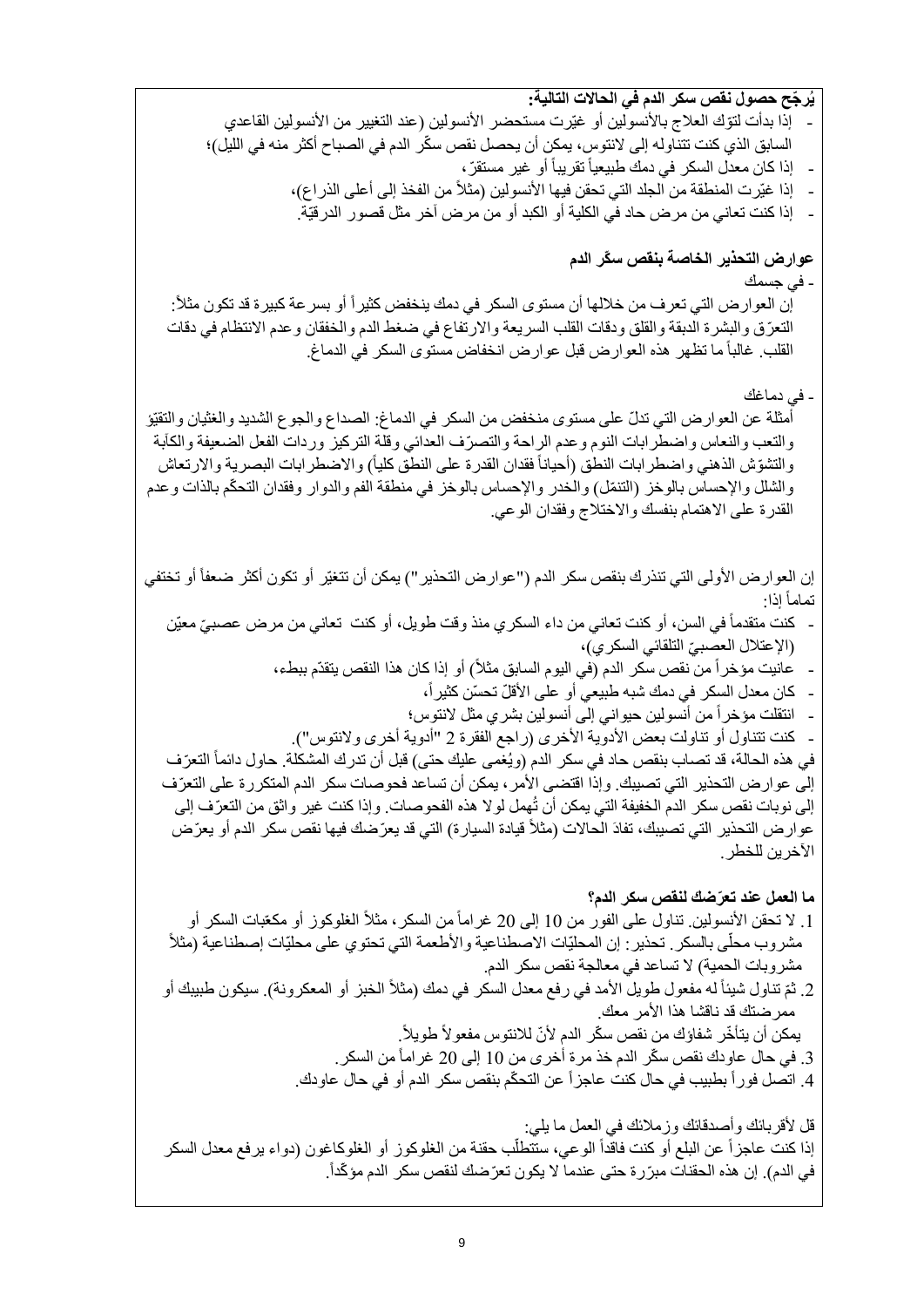**يُر ّجح حصول نقص سكر الدم في الحاالت التالية:** إذا بدأت لتوّك العلاج بالأنسولين أو غيّرت مستحضر الأنسولين (عند التغيير من الأنسولين القاعدي السابق الذي كنت تتناوله إلى لانتوس، يمكن أن يحصل نقص سكّر الدم في الصباح أكثر منه في الليل)؛ - إذا كان معدل السكر في دمك طبيعياً تقريباً أو غير مستقرّ ، إذا غيّرت المنطقة من الجلد التي تحقن فيها الأنسولين (مثلاً من الفخذ إلى أعلى الذراع)، - إذا كنت تعاني من مرض حاد في الكلية أو الكبد أو من مرض آخر مثل قصور الدرقيّة. **عوارض التحذير الخاصة بنقص س ّكر الدم** - في جسمك إن العوار ض التي تعرف من خلالها أن مستوى السكر في دمك ينخفض كثيراً أو بسر عة كبيرة قد تكون مثلاً: التعّرق والبشرة الدبقة والقلق ودقات القلب السريعة واالرتفاع في ضغط الدم والخفقان وعدم االنتظام في دقات القلب. غالباً ما تظهر ٍ هذه العوار ض قبل عوار ض انخفاض مستوى السكر ً في الدماغ. - في دماغك أمثلة عن العوارض التي تدلّ على مستوى منخفض من السكر في الدماغ: الصداع والجوع الشديد والغثيان والتقيّؤ والتعب والنعاس واضطرابات النوم وعدم الراحة والتصرّف العدائي وقلة التركيز وردات الفعل الضعيفة والكآبة والتشوّش الذهني واضطرابات النطق (أحياناً فقدان القدرة على النطق كلياً) والاضطرابات البصرية والارتعاش والشلل والإحساس بالوخز (التنمّل) والخدر والإحساس بالوخز في منطقة الفم والدوار وفقدان التحكّم بالذات وعدم القدرة على االهتمام بنفسك واالختالج وفقدان الوعي. إن العوارض الأولى التي تنذرك بنقص سكر الدم ("عوارض التحذير ") يمكن أن تتغيّر أو تكون أكثر ضعفاً أو تختفي إذا: تماماً - كنت متقدماً في السن، أو كنت تعاني من داء السكري منذ وقت طويل، أو كنت تعاني من مرض عصبيّ معيّن (الإعتلال العصبيّ التلقائي السكري)، - عانيت مؤخراً من نقص سكر الدم )في اليوم السابق مثالً( أو إذا كان هذا النقص يتقدّم ببطء، كان معدل السكر في دمك شبه طبيعي أو على الأقلّ تحسّن كثيراً، - انتقلت مؤخراً من أنسولين حيواني إلى أنسولين بشري مثل النتوس؛ كنت تتناول أو تناولت بعض الأدوية الأخرى (راجع الفقرة 2 "أدوية أخرى ولانتوس"). في هذه الحالة، قد تصـاب بنقص حاد في سكر الدم (ويُغمى عليك حتى) قبل أن تدرك المشكلة. حاول دائماً التعرّف إلى عوارض التحذير التي تصيبك. وإذا اقتضى الأمر ، يمكن أن تساعد فحوصات سكر الدم المتكررة على التعرّف إلى نوبات نقص سكر الدم الخفيفة التي يمكن أن تُهمل لوال هذه الفحوصات. وإذا كنت غير واثق من التعّرف إلى عوارض التحذير التي تصيبك، تفادَ الحالات (مثلاً قيادة السيارة) التي قد يعرّضك فيها نقص سكر الدم أو يعرّض الأخرين للخطر . **ما العمل عند تعّرضك لنقص سكر الدم؟** 1. لا تحقن الأنسولين. تناول على الفور من 10 إلى 20 غراماً من السكر ، مثلاً الغلوكوز أو مكعّبات السكر أو مشروب محلّى بالسكر . تحذير : إن المحليّات الاصطناعية والأطعمة التي تحتوي على محليّات إصطناعية (مثلاً مشروبات الحمية) لا تساعد في معالجة نقص سكر الدم. 2. ثمّ تناول شيئاً له مفعول طويل الأمد في رفع معدل السكر في دمك (مثلاً الخبز أو المعكرونة). سيكون طبيبك أو ممرضتك قد ناقشا هذا األمر معك. يمكن أن يتأخّر شفاؤك من نقص سكّر الدم لأنّ للانتوس مفعولاً طويلاً. 3. في حال عاودك نقص سكّر الدم خذ مرة أخرى من 10 إلى 20 غراماً من السكر . 4. اتصل فور أ بطبيب في حال كنت عاجز أ عن التحكّم بنقص سكر الدم أو في حال عاودك. قل لأقربائك وأصدقائك وزملائك في العمل ما يلي: ֧֧֦֧֦֧֚֝֬֓֓֜*֛* إذا كنت عاجزاً عن البلع أو كنت فاقداً الوعي، ستتطلَّب حقنة من الغلوكوز أو الغلوكاغون (دواء يرفع معدل السكر في الدم). إن هذه الحقنات مبرّرة حتى عندما لا يكون تعرّضك لنقص سكر الدم مؤكّداً.